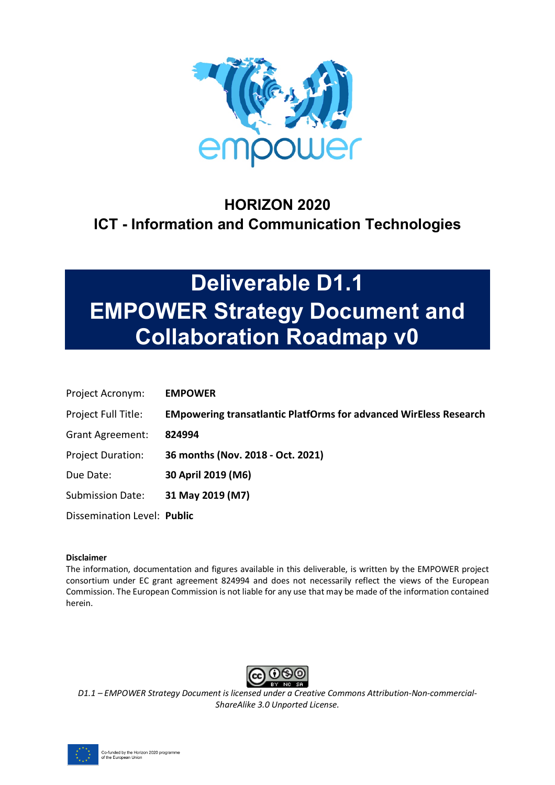

# **HORIZON 2020 ICT - Information and Communication Technologies**

# **Deliverable D1.1 EMPOWER Strategy Document and Collaboration Roadmap v0**

| Project Acronym:            | <b>EMPOWER</b>                                                           |
|-----------------------------|--------------------------------------------------------------------------|
| Project Full Title:         | <b>EMpowering transatlantic PlatfOrms for advanced WirEless Research</b> |
| <b>Grant Agreement:</b>     | 824994                                                                   |
| <b>Project Duration:</b>    | 36 months (Nov. 2018 - Oct. 2021)                                        |
| Due Date:                   | 30 April 2019 (M6)                                                       |
| <b>Submission Date:</b>     | 31 May 2019 (M7)                                                         |
| Dissemination Level: Public |                                                                          |

### **Disclaimer**

The information, documentation and figures available in this deliverable, is written by the EMPOWER project consortium under EC grant agreement 824994 and does not necessarily reflect the views of the European Commission. The European Commission is not liable for any use that may be made of the information contained herein.



*D1.1 – EMPOWER Strategy Document is licensed under a Creative Commons Attribution-Non-commercial-ShareAlike 3.0 Unported License.*

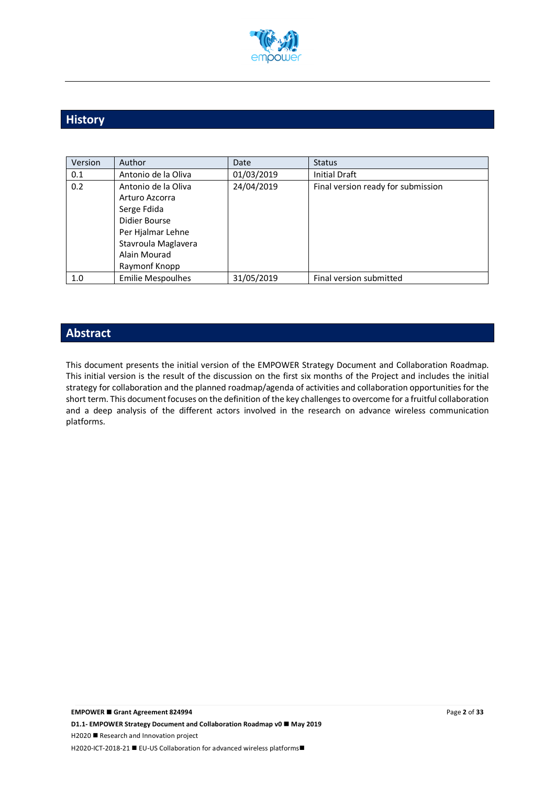

# **History**

| Version | Author                   | Date       | <b>Status</b>                      |
|---------|--------------------------|------------|------------------------------------|
| 0.1     | Antonio de la Oliva      | 01/03/2019 | <b>Initial Draft</b>               |
| 0.2     | Antonio de la Oliva      | 24/04/2019 | Final version ready for submission |
|         | Arturo Azcorra           |            |                                    |
|         | Serge Fdida              |            |                                    |
|         | Didier Bourse            |            |                                    |
|         | Per Hjalmar Lehne        |            |                                    |
|         | Stavroula Maglavera      |            |                                    |
|         | Alain Mourad             |            |                                    |
|         | Raymonf Knopp            |            |                                    |
| 1.0     | <b>Emilie Mespoulhes</b> | 31/05/2019 | Final version submitted            |

# **Abstract**

This document presents the initial version of the EMPOWER Strategy Document and Collaboration Roadmap. This initial version is the result of the discussion on the first six months of the Project and includes the initial strategy for collaboration and the planned roadmap/agenda of activities and collaboration opportunities for the short term. This document focuses on the definition of the key challenges to overcome for a fruitful collaboration and a deep analysis of the different actors involved in the research on advance wireless communication platforms.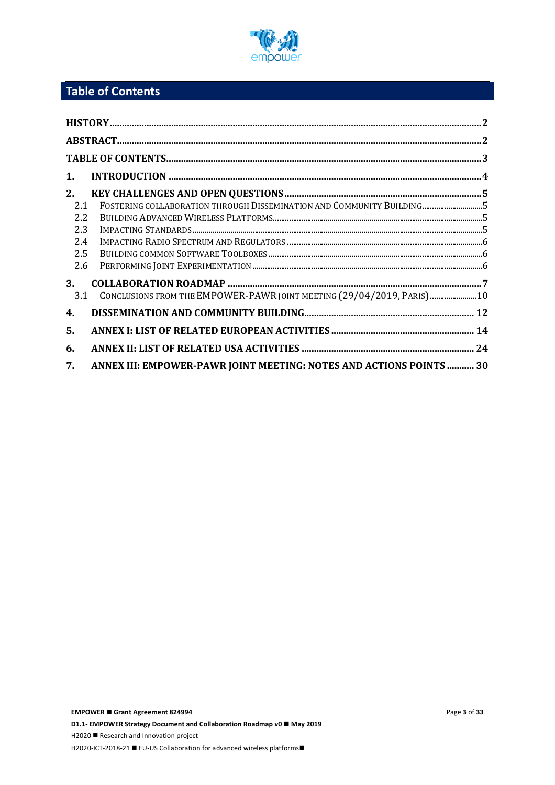

# **Table of Contents**

| 1.                                           |                                                                         |  |  |  |  |
|----------------------------------------------|-------------------------------------------------------------------------|--|--|--|--|
| 2.<br>2.1<br>2.2<br>2.3<br>2.4<br>2.5<br>2.6 | FOSTERING COLLABORATION THROUGH DISSEMINATION AND COMMUNITY BUILDING5   |  |  |  |  |
| 3.<br>3.1                                    | CONCLUSIONS FROM THE EMPOWER-PAWR JOINT MEETING (29/04/2019, PARIS)  10 |  |  |  |  |
| 4.                                           |                                                                         |  |  |  |  |
| 5.                                           |                                                                         |  |  |  |  |
| 6.                                           |                                                                         |  |  |  |  |
| 7.                                           | ANNEX III: EMPOWER-PAWR JOINT MEETING: NOTES AND ACTIONS POINTS  30     |  |  |  |  |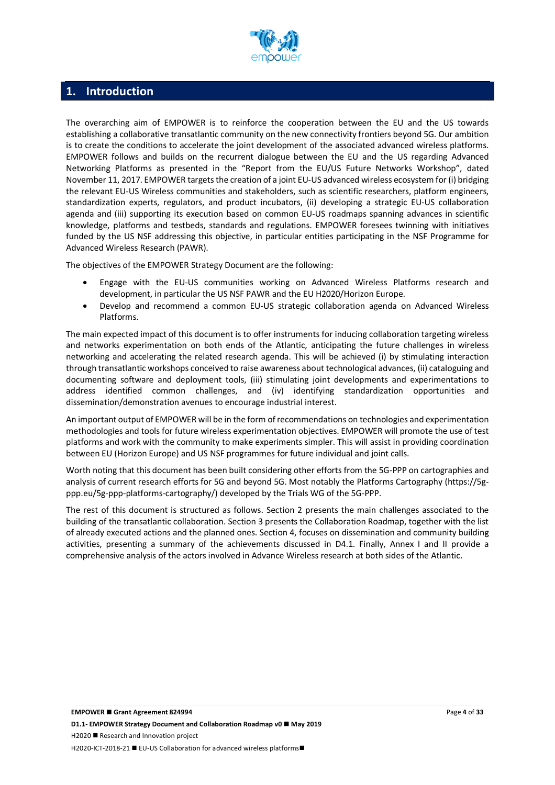

# **1. Introduction**

The overarching aim of EMPOWER is to reinforce the cooperation between the EU and the US towards establishing a collaborative transatlantic community on the new connectivity frontiers beyond 5G. Our ambition is to create the conditions to accelerate the joint development of the associated advanced wireless platforms. EMPOWER follows and builds on the recurrent dialogue between the EU and the US regarding Advanced Networking Platforms as presented in the "Report from the EU/US Future Networks Workshop", dated November 11, 2017. EMPOWER targets the creation of a joint EU-US advanced wireless ecosystem for (i) bridging the relevant EU-US Wireless communities and stakeholders, such as scientific researchers, platform engineers, standardization experts, regulators, and product incubators, (ii) developing a strategic EU-US collaboration agenda and (iii) supporting its execution based on common EU-US roadmaps spanning advances in scientific knowledge, platforms and testbeds, standards and regulations. EMPOWER foresees twinning with initiatives funded by the US NSF addressing this objective, in particular entities participating in the NSF Programme for Advanced Wireless Research (PAWR).

The objectives of the EMPOWER Strategy Document are the following:

- Engage with the EU-US communities working on Advanced Wireless Platforms research and development, in particular the US NSF PAWR and the EU H2020/Horizon Europe.
- Develop and recommend a common EU-US strategic collaboration agenda on Advanced Wireless Platforms.

The main expected impact of this document is to offer instruments for inducing collaboration targeting wireless and networks experimentation on both ends of the Atlantic, anticipating the future challenges in wireless networking and accelerating the related research agenda. This will be achieved (i) by stimulating interaction through transatlantic workshops conceived to raise awareness about technological advances, (ii) cataloguing and documenting software and deployment tools, (iii) stimulating joint developments and experimentations to address identified common challenges, and (iv) identifying standardization opportunities and dissemination/demonstration avenues to encourage industrial interest.

An important output of EMPOWER will be in the form of recommendations on technologies and experimentation methodologies and tools for future wireless experimentation objectives. EMPOWER will promote the use of test platforms and work with the community to make experiments simpler. This will assist in providing coordination between EU (Horizon Europe) and US NSF programmes for future individual and joint calls.

Worth noting that this document has been built considering other efforts from the 5G-PPP on cartographies and analysis of current research efforts for 5G and beyond 5G. Most notably the Platforms Cartography (https://5gppp.eu/5g-ppp-platforms-cartography/) developed by the Trials WG of the 5G-PPP.

The rest of this document is structured as follows. Section 2 presents the main challenges associated to the building of the transatlantic collaboration. Section 3 presents the Collaboration Roadmap, together with the list of already executed actions and the planned ones. Section 4, focuses on dissemination and community building activities, presenting a summary of the achievements discussed in D4.1. Finally, Annex I and II provide a comprehensive analysis of the actors involved in Advance Wireless research at both sides of the Atlantic.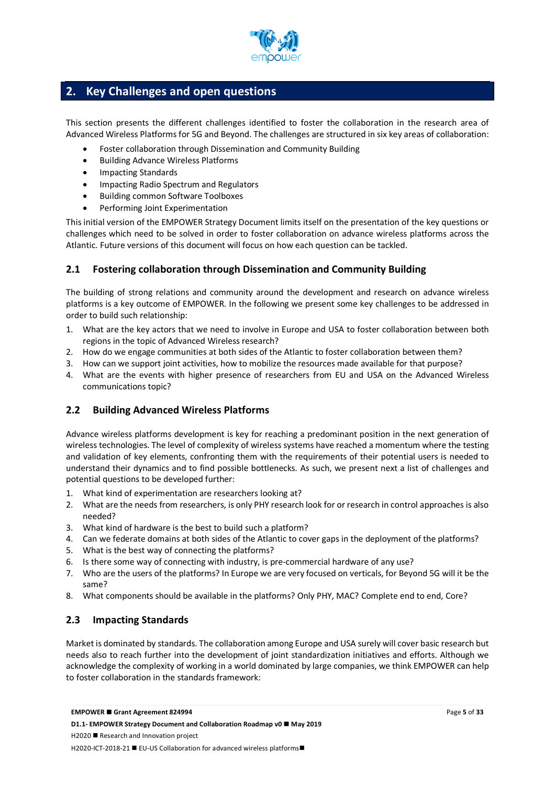

# **2. Key Challenges and open questions**

This section presents the different challenges identified to foster the collaboration in the research area of Advanced Wireless Platforms for 5G and Beyond. The challenges are structured in six key areas of collaboration:

- Foster collaboration through Dissemination and Community Building
- Building Advance Wireless Platforms
- Impacting Standards
- Impacting Radio Spectrum and Regulators
- Building common Software Toolboxes
- Performing Joint Experimentation

This initial version of the EMPOWER Strategy Document limits itself on the presentation of the key questions or challenges which need to be solved in order to foster collaboration on advance wireless platforms across the Atlantic. Future versions of this document will focus on how each question can be tackled.

# **2.1 Fostering collaboration through Dissemination and Community Building**

The building of strong relations and community around the development and research on advance wireless platforms is a key outcome of EMPOWER. In the following we present some key challenges to be addressed in order to build such relationship:

- 1. What are the key actors that we need to involve in Europe and USA to foster collaboration between both regions in the topic of Advanced Wireless research?
- 2. How do we engage communities at both sides of the Atlantic to foster collaboration between them?
- 3. How can we support joint activities, how to mobilize the resources made available for that purpose?
- 4. What are the events with higher presence of researchers from EU and USA on the Advanced Wireless communications topic?

# **2.2 Building Advanced Wireless Platforms**

Advance wireless platforms development is key for reaching a predominant position in the next generation of wireless technologies. The level of complexity of wireless systems have reached a momentum where the testing and validation of key elements, confronting them with the requirements of their potential users is needed to understand their dynamics and to find possible bottlenecks. As such, we present next a list of challenges and potential questions to be developed further:

- 1. What kind of experimentation are researchers looking at?
- 2. What are the needs from researchers, is only PHY research look for or research in control approaches is also needed?
- 3. What kind of hardware is the best to build such a platform?
- 4. Can we federate domains at both sides of the Atlantic to cover gaps in the deployment of the platforms?
- 5. What is the best way of connecting the platforms?
- 6. Is there some way of connecting with industry, is pre-commercial hardware of any use?
- 7. Who are the users of the platforms? In Europe we are very focused on verticals, for Beyond 5G will it be the same?
- 8. What components should be available in the platforms? Only PHY, MAC? Complete end to end, Core?

# **2.3 Impacting Standards**

Market is dominated by standards. The collaboration among Europe and USA surely will cover basic research but needs also to reach further into the development of joint standardization initiatives and efforts. Although we acknowledge the complexity of working in a world dominated by large companies, we think EMPOWER can help to foster collaboration in the standards framework: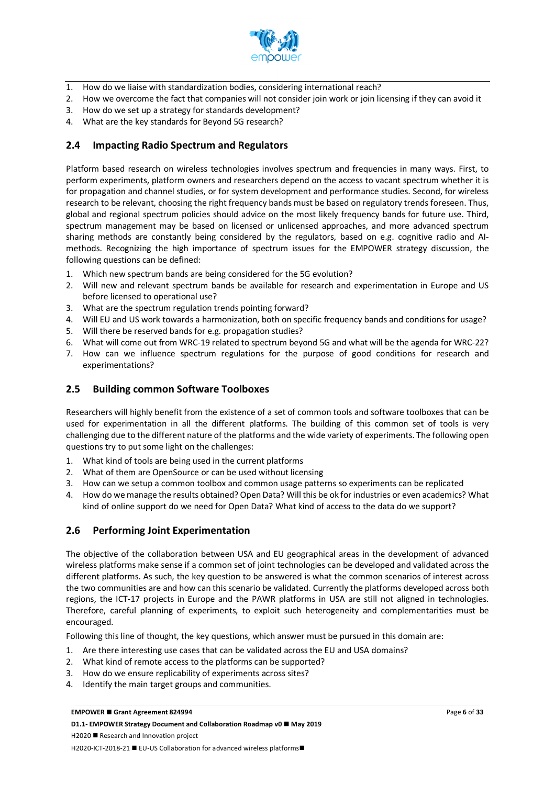

- 1. How do we liaise with standardization bodies, considering international reach?
- 2. How we overcome the fact that companies will not consider join work or join licensing if they can avoid it
- 3. How do we set up a strategy for standards development?
- 4. What are the key standards for Beyond 5G research?

## **2.4 Impacting Radio Spectrum and Regulators**

Platform based research on wireless technologies involves spectrum and frequencies in many ways. First, to perform experiments, platform owners and researchers depend on the access to vacant spectrum whether it is for propagation and channel studies, or for system development and performance studies. Second, for wireless research to be relevant, choosing the right frequency bands must be based on regulatory trends foreseen. Thus, global and regional spectrum policies should advice on the most likely frequency bands for future use. Third, spectrum management may be based on licensed or unlicensed approaches, and more advanced spectrum sharing methods are constantly being considered by the regulators, based on e.g. cognitive radio and AImethods. Recognizing the high importance of spectrum issues for the EMPOWER strategy discussion, the following questions can be defined:

- 1. Which new spectrum bands are being considered for the 5G evolution?
- 2. Will new and relevant spectrum bands be available for research and experimentation in Europe and US before licensed to operational use?
- 3. What are the spectrum regulation trends pointing forward?
- 4. Will EU and US work towards a harmonization, both on specific frequency bands and conditions for usage?
- 5. Will there be reserved bands for e.g. propagation studies?
- 6. What will come out from WRC-19 related to spectrum beyond 5G and what will be the agenda for WRC-22?
- 7. How can we influence spectrum regulations for the purpose of good conditions for research and experimentations?

### **2.5 Building common Software Toolboxes**

Researchers will highly benefit from the existence of a set of common tools and software toolboxes that can be used for experimentation in all the different platforms. The building of this common set of tools is very challenging due to the different nature of the platforms and the wide variety of experiments. The following open questions try to put some light on the challenges:

- 1. What kind of tools are being used in the current platforms
- 2. What of them are OpenSource or can be used without licensing
- 3. How can we setup a common toolbox and common usage patterns so experiments can be replicated
- 4. How do we manage the results obtained? Open Data? Will this be ok for industries or even academics? What kind of online support do we need for Open Data? What kind of access to the data do we support?

### **2.6 Performing Joint Experimentation**

The objective of the collaboration between USA and EU geographical areas in the development of advanced wireless platforms make sense if a common set of joint technologies can be developed and validated across the different platforms. As such, the key question to be answered is what the common scenarios of interest across the two communities are and how can this scenario be validated. Currently the platforms developed across both regions, the ICT-17 projects in Europe and the PAWR platforms in USA are still not aligned in technologies. Therefore, careful planning of experiments, to exploit such heterogeneity and complementarities must be encouraged.

Following this line of thought, the key questions, which answer must be pursued in this domain are:

- 1. Are there interesting use cases that can be validated across the EU and USA domains?
- 2. What kind of remote access to the platforms can be supported?
- 3. How do we ensure replicability of experiments across sites?
- 4. Identify the main target groups and communities.

#### **EMPOWER ■ Grant Agreement 824994**

**D1.1- EMPOWER Strategy Document and Collaboration Roadmap v0 ■ May 2019**  $H2020$  **Research and Innovation project** H2020-ICT-2018-21 ■ EU-US Collaboration for advanced wireless platforms■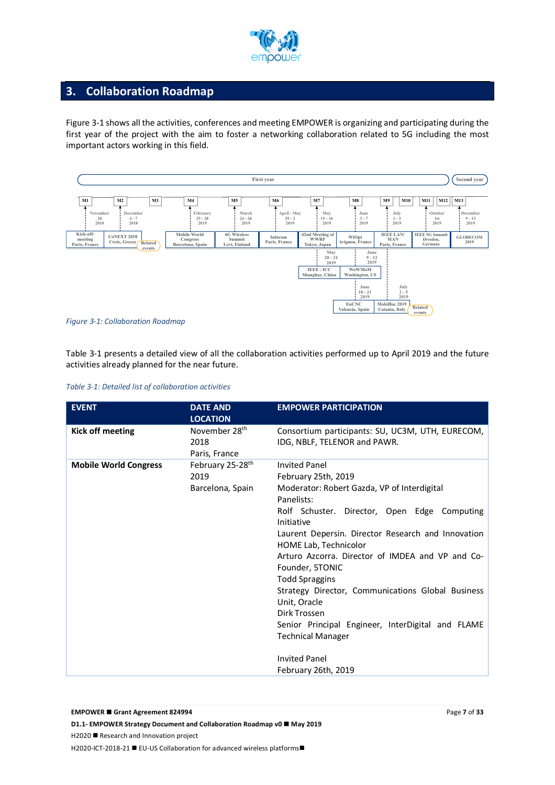

# **3. Collaboration Roadmap**

Figure 3-1 shows all the activities, conferences and meeting EMPOWER is organizing and participating during the first year of the project with the aim to foster a networking collaboration related to 5G including the most important actors working in this field.



*Figure 3-1: Collaboration Roadmap*

Table 3-1 presents a detailed view of all the collaboration activities performed up to April 2019 and the future activities already planned for the near future.

|  |  | Table 3-1: Detailed list of collaboration activities |  |
|--|--|------------------------------------------------------|--|
|  |  |                                                      |  |

| <b>EVENT</b>                 | <b>DATE AND</b><br><b>LOCATION</b>                       | <b>EMPOWER PARTICIPATION</b>                                                                                                                                                                                                                                                                                                                                                                                                                                                                                                                                               |
|------------------------------|----------------------------------------------------------|----------------------------------------------------------------------------------------------------------------------------------------------------------------------------------------------------------------------------------------------------------------------------------------------------------------------------------------------------------------------------------------------------------------------------------------------------------------------------------------------------------------------------------------------------------------------------|
| <b>Kick off meeting</b>      | November 28 <sup>th</sup><br>2018<br>Paris, France       | Consortium participants: SU, UC3M, UTH, EURECOM,<br>IDG, NBLF, TELENOR and PAWR.                                                                                                                                                                                                                                                                                                                                                                                                                                                                                           |
| <b>Mobile World Congress</b> | February 25-28 <sup>th</sup><br>2019<br>Barcelona, Spain | <b>Invited Panel</b><br>February 25th, 2019<br>Moderator: Robert Gazda, VP of Interdigital<br>Panelists:<br>Rolf Schuster. Director, Open Edge Computing<br>Initiative<br>Laurent Depersin. Director Research and Innovation<br>HOME Lab, Technicolor<br>Arturo Azcorra. Director of IMDEA and VP and Co-<br>Founder, 5TONIC<br><b>Todd Spraggins</b><br>Strategy Director, Communications Global Business<br>Unit, Oracle<br>Dirk Trossen<br>Senior Principal Engineer, InterDigital and FLAME<br><b>Technical Manager</b><br><b>Invited Panel</b><br>February 26th, 2019 |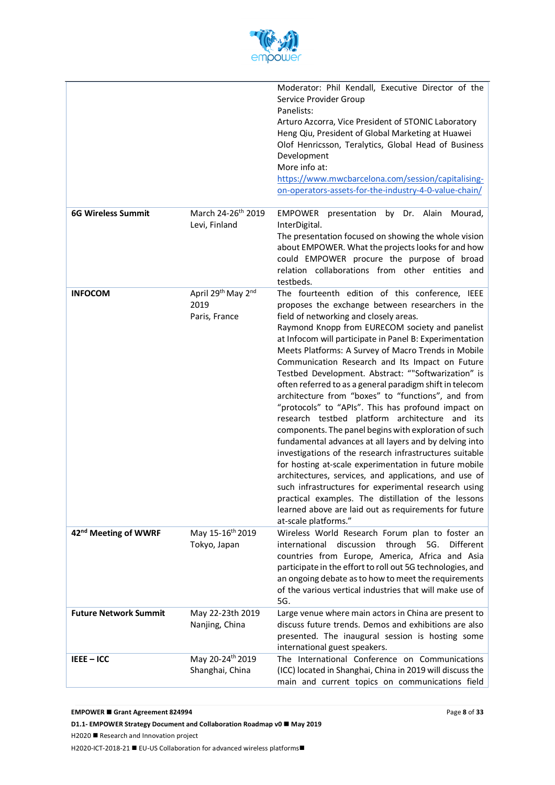

|                                  |                                                 | Moderator: Phil Kendall, Executive Director of the<br>Service Provider Group<br>Panelists:<br>Arturo Azcorra, Vice President of 5TONIC Laboratory<br>Heng Qiu, President of Global Marketing at Huawei<br>Olof Henricsson, Teralytics, Global Head of Business<br>Development<br>More info at:<br>https://www.mwcbarcelona.com/session/capitalising-<br>on-operators-assets-for-the-industry-4-0-value-chain/                                                                                                                                                                                                                                                                                                                                                                                                                                                                                                                                                                                                                                                                                                                                          |
|----------------------------------|-------------------------------------------------|--------------------------------------------------------------------------------------------------------------------------------------------------------------------------------------------------------------------------------------------------------------------------------------------------------------------------------------------------------------------------------------------------------------------------------------------------------------------------------------------------------------------------------------------------------------------------------------------------------------------------------------------------------------------------------------------------------------------------------------------------------------------------------------------------------------------------------------------------------------------------------------------------------------------------------------------------------------------------------------------------------------------------------------------------------------------------------------------------------------------------------------------------------|
| <b>6G Wireless Summit</b>        | March 24-26 <sup>th</sup> 2019<br>Levi, Finland | <b>EMPOWER</b><br>presentation by Dr. Alain<br>Mourad,<br>InterDigital.<br>The presentation focused on showing the whole vision<br>about EMPOWER. What the projects looks for and how<br>could EMPOWER procure the purpose of broad<br>relation collaborations from other entities and<br>testbeds.                                                                                                                                                                                                                                                                                                                                                                                                                                                                                                                                                                                                                                                                                                                                                                                                                                                    |
| <b>INFOCOM</b>                   | April 29th May 2nd<br>2019<br>Paris, France     | The fourteenth edition of this conference, IEEE<br>proposes the exchange between researchers in the<br>field of networking and closely areas.<br>Raymond Knopp from EURECOM society and panelist<br>at Infocom will participate in Panel B: Experimentation<br>Meets Platforms: A Survey of Macro Trends in Mobile<br>Communication Research and Its Impact on Future<br>Testbed Development. Abstract: ""Softwarization" is<br>often referred to as a general paradigm shift in telecom<br>architecture from "boxes" to "functions", and from<br>"protocols" to "APIs". This has profound impact on<br>research testbed platform architecture and its<br>components. The panel begins with exploration of such<br>fundamental advances at all layers and by delving into<br>investigations of the research infrastructures suitable<br>for hosting at-scale experimentation in future mobile<br>architectures, services, and applications, and use of<br>such infrastructures for experimental research using<br>practical examples. The distillation of the lessons<br>learned above are laid out as requirements for future<br>at-scale platforms." |
| 42 <sup>nd</sup> Meeting of WWRF | May 15-16 <sup>th</sup> 2019<br>Tokyo, Japan    | Wireless World Research Forum plan to foster an<br>international<br>discussion<br>through<br>Different<br>5G.<br>countries from Europe, America, Africa and Asia<br>participate in the effort to roll out 5G technologies, and<br>an ongoing debate as to how to meet the requirements<br>of the various vertical industries that will make use of<br>5G.                                                                                                                                                                                                                                                                                                                                                                                                                                                                                                                                                                                                                                                                                                                                                                                              |
| <b>Future Network Summit</b>     | May 22-23th 2019<br>Nanjing, China              | Large venue where main actors in China are present to<br>discuss future trends. Demos and exhibitions are also<br>presented. The inaugural session is hosting some<br>international guest speakers.                                                                                                                                                                                                                                                                                                                                                                                                                                                                                                                                                                                                                                                                                                                                                                                                                                                                                                                                                    |
| IEEE-ICC                         | May 20-24th 2019<br>Shanghai, China             | The International Conference on Communications<br>(ICC) located in Shanghai, China in 2019 will discuss the<br>main and current topics on communications field                                                                                                                                                                                                                                                                                                                                                                                                                                                                                                                                                                                                                                                                                                                                                                                                                                                                                                                                                                                         |

**D1.1- EMPOWER Strategy Document and Collaboration Roadmap v0 ■ May 2019** 

H2020 ■ Research and Innovation project

H2020-ICT-2018-21 ■ EU-US Collaboration for advanced wireless platforms■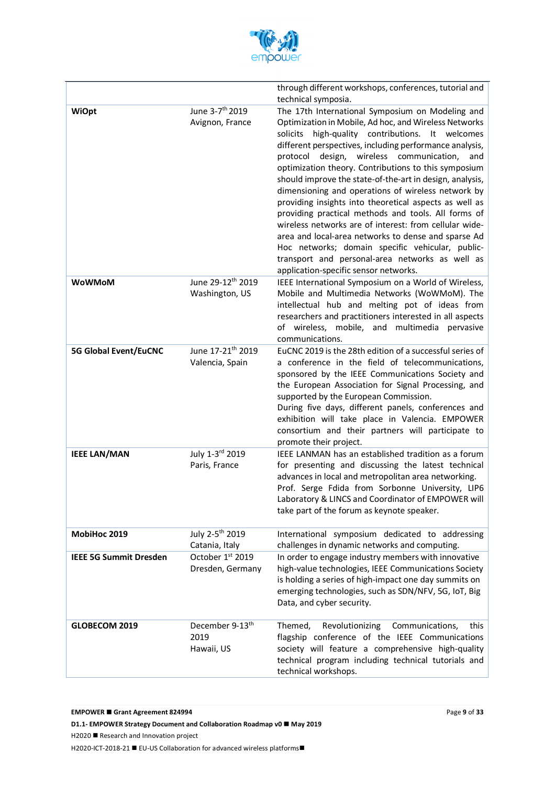

|                               |                                                   | through different workshops, conferences, tutorial and<br>technical symposia.                                                                                                                                                                                                                                                                                                                                                                                                                                                                                                                                                                                                                                                                                                                                                                 |
|-------------------------------|---------------------------------------------------|-----------------------------------------------------------------------------------------------------------------------------------------------------------------------------------------------------------------------------------------------------------------------------------------------------------------------------------------------------------------------------------------------------------------------------------------------------------------------------------------------------------------------------------------------------------------------------------------------------------------------------------------------------------------------------------------------------------------------------------------------------------------------------------------------------------------------------------------------|
| <b>WiOpt</b>                  | June 3-7 <sup>th</sup> 2019<br>Avignon, France    | The 17th International Symposium on Modeling and<br>Optimization in Mobile, Ad hoc, and Wireless Networks<br>high-quality contributions. It welcomes<br>solicits<br>different perspectives, including performance analysis,<br>design, wireless communication,<br>protocol<br>and<br>optimization theory. Contributions to this symposium<br>should improve the state-of-the-art in design, analysis,<br>dimensioning and operations of wireless network by<br>providing insights into theoretical aspects as well as<br>providing practical methods and tools. All forms of<br>wireless networks are of interest: from cellular wide-<br>area and local-area networks to dense and sparse Ad<br>Hoc networks; domain specific vehicular, public-<br>transport and personal-area networks as well as<br>application-specific sensor networks. |
| <b>WoWMoM</b>                 | June 29-12th 2019<br>Washington, US               | IEEE International Symposium on a World of Wireless,<br>Mobile and Multimedia Networks (WoWMoM). The<br>intellectual hub and melting pot of ideas from<br>researchers and practitioners interested in all aspects<br>of wireless, mobile, and multimedia pervasive<br>communications.                                                                                                                                                                                                                                                                                                                                                                                                                                                                                                                                                         |
| <b>5G Global Event/EuCNC</b>  | June 17-21 <sup>th</sup> 2019<br>Valencia, Spain  | EuCNC 2019 is the 28th edition of a successful series of<br>a conference in the field of telecommunications,<br>sponsored by the IEEE Communications Society and<br>the European Association for Signal Processing, and<br>supported by the European Commission.<br>During five days, different panels, conferences and<br>exhibition will take place in Valencia. EMPOWER<br>consortium and their partners will participate to<br>promote their project.                                                                                                                                                                                                                                                                                                                                                                                     |
| <b>IEEE LAN/MAN</b>           | July 1-3rd 2019<br>Paris, France                  | IEEE LANMAN has an established tradition as a forum<br>for presenting and discussing the latest technical<br>advances in local and metropolitan area networking.<br>Prof. Serge Fdida from Sorbonne University, LIP6<br>Laboratory & LINCS and Coordinator of EMPOWER will<br>take part of the forum as keynote speaker.                                                                                                                                                                                                                                                                                                                                                                                                                                                                                                                      |
| MobiHoc 2019                  | July 2-5 <sup>th</sup> 2019<br>Catania, Italy     | International symposium dedicated to addressing<br>challenges in dynamic networks and computing.                                                                                                                                                                                                                                                                                                                                                                                                                                                                                                                                                                                                                                                                                                                                              |
| <b>IEEE 5G Summit Dresden</b> | October 1st 2019<br>Dresden, Germany              | In order to engage industry members with innovative<br>high-value technologies, IEEE Communications Society<br>is holding a series of high-impact one day summits on<br>emerging technologies, such as SDN/NFV, 5G, IoT, Big<br>Data, and cyber security.                                                                                                                                                                                                                                                                                                                                                                                                                                                                                                                                                                                     |
| GLOBECOM 2019                 | December 9-13 <sup>th</sup><br>2019<br>Hawaii, US | Themed,<br>Revolutionizing<br>Communications,<br>this<br>flagship conference of the IEEE Communications<br>society will feature a comprehensive high-quality<br>technical program including technical tutorials and<br>technical workshops.                                                                                                                                                                                                                                                                                                                                                                                                                                                                                                                                                                                                   |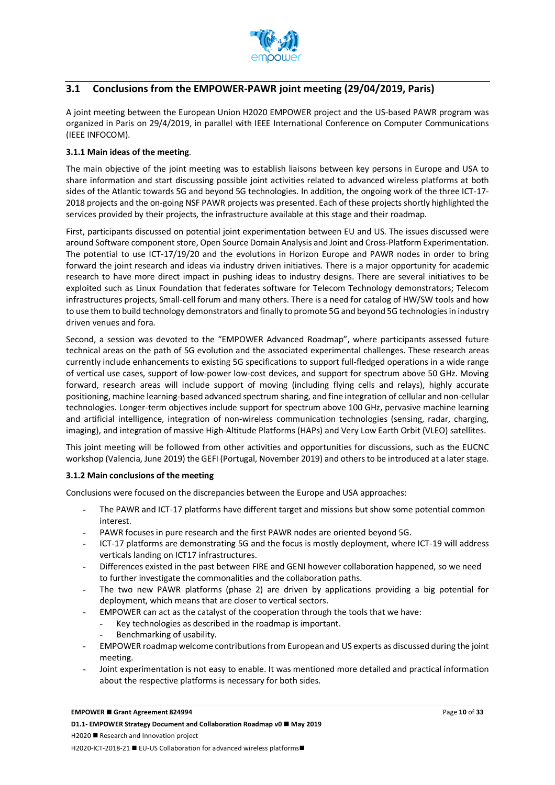

# **3.1 Conclusions from the EMPOWER-PAWR joint meeting (29/04/2019, Paris)**

A joint meeting between the European Union H2020 EMPOWER project and the US-based PAWR program was organized in Paris on 29/4/2019, in parallel with IEEE International Conference on Computer Communications (IEEE INFOCOM).

#### **3.1.1 Main ideas of the meeting**.

The main objective of the joint meeting was to establish liaisons between key persons in Europe and USA to share information and start discussing possible joint activities related to advanced wireless platforms at both sides of the Atlantic towards 5G and beyond 5G technologies. In addition, the ongoing work of the three ICT-17- 2018 projects and the on-going NSF PAWR projects was presented. Each of these projects shortly highlighted the services provided by their projects, the infrastructure available at this stage and their roadmap.

First, participants discussed on potential joint experimentation between EU and US. The issues discussed were around Software component store, Open Source Domain Analysis and Joint and Cross-Platform Experimentation. The potential to use ICT-17/19/20 and the evolutions in Horizon Europe and PAWR nodes in order to bring forward the joint research and ideas via industry driven initiatives. There is a major opportunity for academic research to have more direct impact in pushing ideas to industry designs. There are several initiatives to be exploited such as Linux Foundation that federates software for Telecom Technology demonstrators; Telecom infrastructures projects, Small-cell forum and many others. There is a need for catalog of HW/SW tools and how to use them to build technology demonstrators and finally to promote 5G and beyond 5G technologies in industry driven venues and fora.

Second, a session was devoted to the "EMPOWER Advanced Roadmap", where participants assessed future technical areas on the path of 5G evolution and the associated experimental challenges. These research areas currently include enhancements to existing 5G specifications to support full-fledged operations in a wide range of vertical use cases, support of low-power low-cost devices, and support for spectrum above 50 GHz. Moving forward, research areas will include support of moving (including flying cells and relays), highly accurate positioning, machine learning-based advanced spectrum sharing, and fine integration of cellular and non-cellular technologies. Longer-term objectives include support for spectrum above 100 GHz, pervasive machine learning and artificial intelligence, integration of non-wireless communication technologies (sensing, radar, charging, imaging), and integration of massive High-Altitude Platforms (HAPs) and Very Low Earth Orbit (VLEO) satellites.

This joint meeting will be followed from other activities and opportunities for discussions, such as the EUCNC workshop (Valencia, June 2019) the GEFI (Portugal, November 2019) and others to be introduced at a later stage.

#### **3.1.2 Main conclusions of the meeting**

Conclusions were focused on the discrepancies between the Europe and USA approaches:

- The PAWR and ICT-17 platforms have different target and missions but show some potential common interest.
- PAWR focuses in pure research and the first PAWR nodes are oriented beyond 5G.
- ICT-17 platforms are demonstrating 5G and the focus is mostly deployment, where ICT-19 will address verticals landing on ICT17 infrastructures.
- Differences existed in the past between FIRE and GENI however collaboration happened, so we need to further investigate the commonalities and the collaboration paths.
- The two new PAWR platforms (phase 2) are driven by applications providing a big potential for deployment, which means that are closer to vertical sectors.
- EMPOWER can act as the catalyst of the cooperation through the tools that we have:
	- Key technologies as described in the roadmap is important.
	- Benchmarking of usability.
- EMPOWER roadmap welcome contributions from European and US experts as discussed during the joint meeting.
- Joint experimentation is not easy to enable. It was mentioned more detailed and practical information about the respective platforms is necessary for both sides.

#### **EMPOWER ■ Grant Agreement 824994**

**D1.1- EMPOWER Strategy Document and Collaboration Roadmap v0 ■ May 2019**  $H2020$  **Research and Innovation project** H2020-ICT-2018-21 ■ EU-US Collaboration for advanced wireless platforms■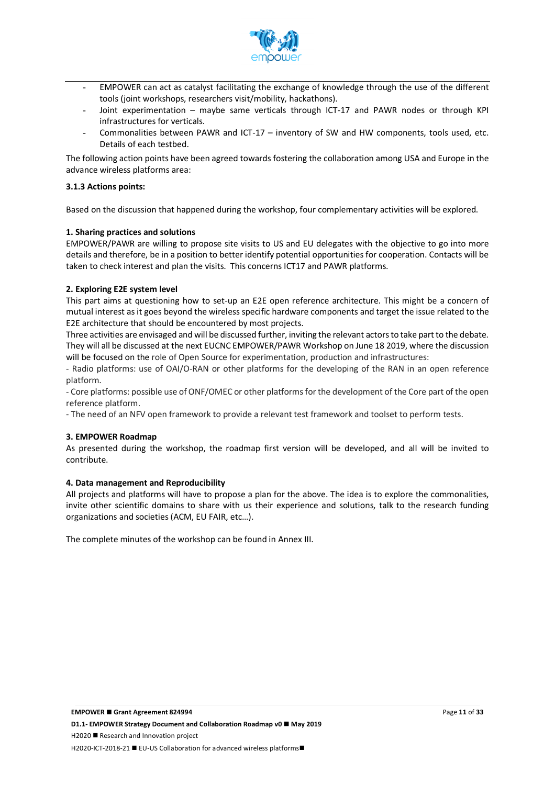

- EMPOWER can act as catalyst facilitating the exchange of knowledge through the use of the different tools (joint workshops, researchers visit/mobility, hackathons).
- Joint experimentation maybe same verticals through ICT-17 and PAWR nodes or through KPI infrastructures for verticals.
- Commonalities between PAWR and ICT-17 inventory of SW and HW components, tools used, etc. Details of each testbed.

The following action points have been agreed towards fostering the collaboration among USA and Europe in the advance wireless platforms area:

#### **3.1.3 Actions points:**

Based on the discussion that happened during the workshop, four complementary activities will be explored.

#### **1. Sharing practices and solutions**

EMPOWER/PAWR are willing to propose site visits to US and EU delegates with the objective to go into more details and therefore, be in a position to better identify potential opportunities for cooperation. Contacts will be taken to check interest and plan the visits. This concerns ICT17 and PAWR platforms.

#### **2. Exploring E2E system level**

This part aims at questioning how to set-up an E2E open reference architecture. This might be a concern of mutual interest as it goes beyond the wireless specific hardware components and target the issue related to the E2E architecture that should be encountered by most projects.

Three activities are envisaged and will be discussed further, inviting the relevant actors to take part to the debate. They will all be discussed at the next EUCNC EMPOWER/PAWR Workshop on June 18 2019, where the discussion will be focused on the role of Open Source for experimentation, production and infrastructures:

- Radio platforms: use of OAI/O-RAN or other platforms for the developing of the RAN in an open reference platform.

- Core platforms: possible use of ONF/OMEC or other platforms for the development of the Core part of the open reference platform.

- The need of an NFV open framework to provide a relevant test framework and toolset to perform tests.

#### **3. EMPOWER Roadmap**

As presented during the workshop, the roadmap first version will be developed, and all will be invited to contribute.

#### **4. Data management and Reproducibility**

All projects and platforms will have to propose a plan for the above. The idea is to explore the commonalities, invite other scientific domains to share with us their experience and solutions, talk to the research funding organizations and societies (ACM, EU FAIR, etc…).

The complete minutes of the workshop can be found in Annex III.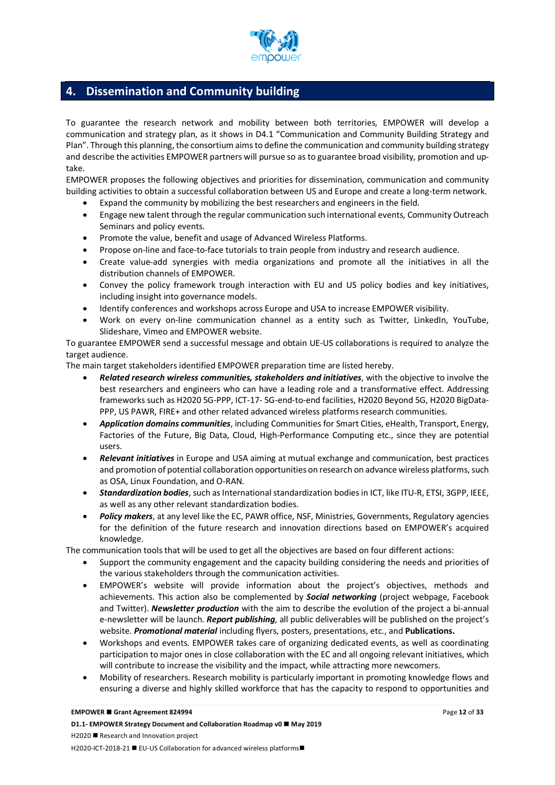

# **4. Dissemination and Community building**

To guarantee the research network and mobility between both territories, EMPOWER will develop a communication and strategy plan, as it shows in D4.1 "Communication and Community Building Strategy and Plan". Through this planning, the consortium aims to define the communication and community building strategy and describe the activities EMPOWER partners will pursue so as to guarantee broad visibility, promotion and uptake.

EMPOWER proposes the following objectives and priorities for dissemination, communication and community building activities to obtain a successful collaboration between US and Europe and create a long-term network.

- Expand the community by mobilizing the best researchers and engineers in the field.
- Engage new talent through the regular communication such international events, Community Outreach Seminars and policy events.
- Promote the value, benefit and usage of Advanced Wireless Platforms.
- Propose on-line and face-to-face tutorials to train people from industry and research audience.
- Create value-add synergies with media organizations and promote all the initiatives in all the distribution channels of EMPOWER.
- Convey the policy framework trough interaction with EU and US policy bodies and key initiatives, including insight into governance models.
- Identify conferences and workshops across Europe and USA to increase EMPOWER visibility.
- Work on every on-line communication channel as a entity such as Twitter, LinkedIn, YouTube, Slideshare, Vimeo and EMPOWER website.

To guarantee EMPOWER send a successful message and obtain UE-US collaborations is required to analyze the target audience.

The main target stakeholders identified EMPOWER preparation time are listed hereby.

- *Related research wireless communities, stakeholders and initiatives*, with the objective to involve the best researchers and engineers who can have a leading role and a transformative effect. Addressing frameworks such as H2020 5G-PPP, ICT-17- 5G-end-to-end facilities, H2020 Beyond 5G, H2020 BigData-PPP, US PAWR, FIRE+ and other related advanced wireless platforms research communities.
- *Application domains communities*, including Communities for Smart Cities, eHealth, Transport, Energy, Factories of the Future, Big Data, Cloud, High-Performance Computing etc., since they are potential users.
- *Relevant initiatives* in Europe and USA aiming at mutual exchange and communication, best practices and promotion of potential collaboration opportunities on research on advance wireless platforms, such as OSA, Linux Foundation, and O-RAN.
- *Standardization bodies*, such as International standardization bodies in ICT, like ITU-R, ETSI, 3GPP, IEEE, as well as any other relevant standardization bodies.
- *Policy makers*, at any level like the EC, PAWR office, NSF, Ministries, Governments, Regulatory agencies for the definition of the future research and innovation directions based on EMPOWER's acquired knowledge.

The communication tools that will be used to get all the objectives are based on four different actions:

- Support the community engagement and the capacity building considering the needs and priorities of the various stakeholders through the communication activities.
- EMPOWER's website will provide information about the project's objectives, methods and achievements. This action also be complemented by *Social networking* (project webpage, Facebook and Twitter). *Newsletter production* with the aim to describe the evolution of the project a bi-annual e-newsletter will be launch. *Report publishing*, all public deliverables will be published on the project's website. *Promotional material* including flyers, posters, presentations, etc., and **Publications.**
- Workshops and events. EMPOWER takes care of organizing dedicated events, as well as coordinating participation to major ones in close collaboration with the EC and all ongoing relevant initiatives, which will contribute to increase the visibility and the impact, while attracting more newcomers.
- Mobility of researchers. Research mobility is particularly important in promoting knowledge flows and ensuring a diverse and highly skilled workforce that has the capacity to respond to opportunities and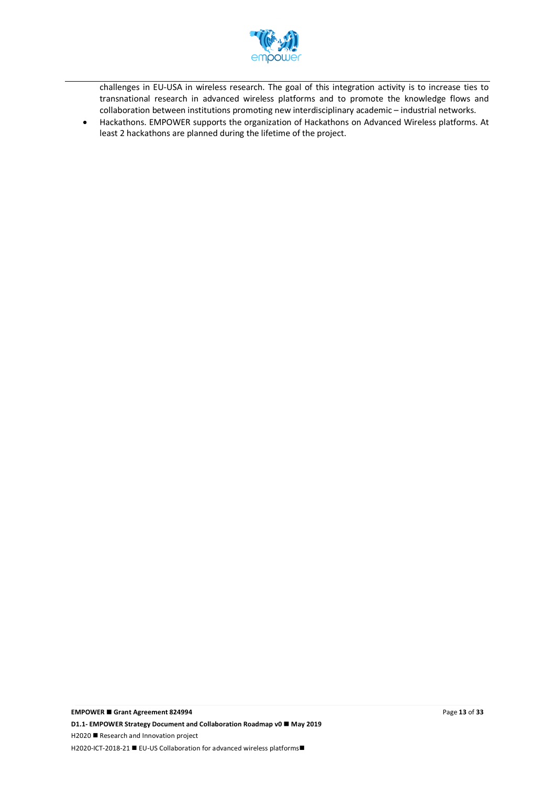

challenges in EU-USA in wireless research. The goal of this integration activity is to increase ties to transnational research in advanced wireless platforms and to promote the knowledge flows and collaboration between institutions promoting new interdisciplinary academic – industrial networks.

• Hackathons. EMPOWER supports the organization of Hackathons on Advanced Wireless platforms. At least 2 hackathons are planned during the lifetime of the project.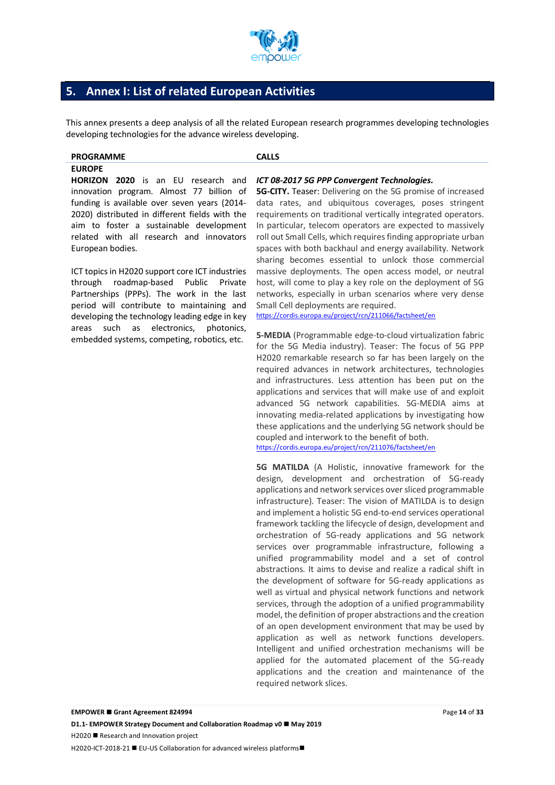

# **5. Annex I: List of related European Activities**

This annex presents a deep analysis of all the related European research programmes developing technologies developing technologies for the advance wireless developing.

# **PROGRAMME CALLS**

#### **EUROPE**

**HORIZON 2020** is an EU research and innovation program. Almost 77 billion of funding is available over seven years (2014- 2020) distributed in different fields with the aim to foster a sustainable development related with all research and innovators European bodies.

ICT topics in H2020 support core ICT industries through roadmap-based Public Private Partnerships (PPPs). The work in the last period will contribute to maintaining and developing the technology leading edge in key areas such as electronics, photonics, embedded systems, competing, robotics, etc.

#### *ICT 08-2017 5G PPP Convergent Technologies.*

**5G-CITY.** Teaser: Delivering on the 5G promise of increased data rates, and ubiquitous coverages, poses stringent requirements on traditional vertically integrated operators. In particular, telecom operators are expected to massively roll out Small Cells, which requires finding appropriate urban spaces with both backhaul and energy availability. Network sharing becomes essential to unlock those commercial massive deployments. The open access model, or neutral host, will come to play a key role on the deployment of 5G networks, especially in urban scenarios where very dense Small Cell deployments are required.

https://cordis.europa.eu/project/rcn/211066/factsheet/en

**5-MEDIA** (Programmable edge-to-cloud virtualization fabric for the 5G Media industry). Teaser: The focus of 5G PPP H2020 remarkable research so far has been largely on the required advances in network architectures, technologies and infrastructures. Less attention has been put on the applications and services that will make use of and exploit advanced 5G network capabilities. 5G-MEDIA aims at innovating media-related applications by investigating how these applications and the underlying 5G network should be coupled and interwork to the benefit of both.

https://cordis.europa.eu/project/rcn/211076/factsheet/en

**5G MATILDA** (A Holistic, innovative framework for the design, development and orchestration of 5G-ready applications and network services over sliced programmable infrastructure). Teaser: The vision of MATILDA is to design and implement a holistic 5G end-to-end services operational framework tackling the lifecycle of design, development and orchestration of 5G-ready applications and 5G network services over programmable infrastructure, following a unified programmability model and a set of control abstractions. It aims to devise and realize a radical shift in the development of software for 5G-ready applications as well as virtual and physical network functions and network services, through the adoption of a unified programmability model, the definition of proper abstractions and the creation of an open development environment that may be used by application as well as network functions developers. Intelligent and unified orchestration mechanisms will be applied for the automated placement of the 5G-ready applications and the creation and maintenance of the required network slices.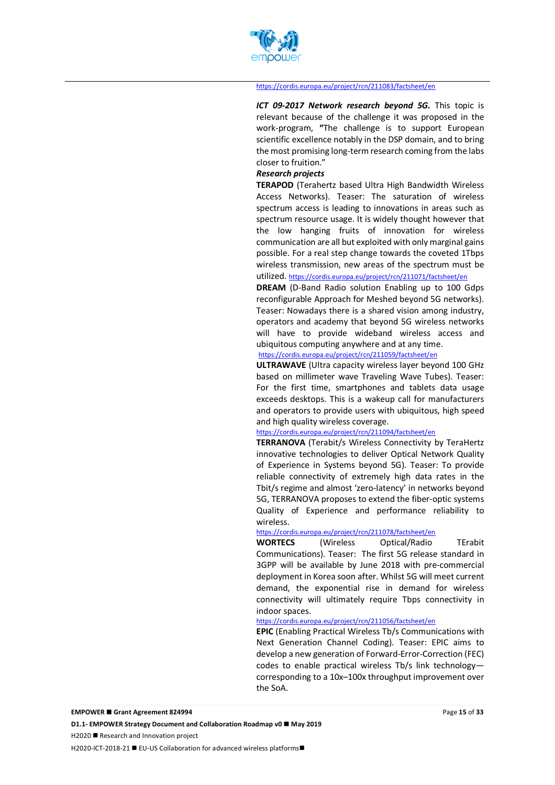

#### https://cordis.europa.eu/project/rcn/211083/factsheet/en

*ICT 09-2017 Network research beyond 5G.* This topic is relevant because of the challenge it was proposed in the work-program, **"**The challenge is to support European scientific excellence notably in the DSP domain, and to bring the most promising long-term research coming from the labs closer to fruition."

#### *Research projects*

**TERAPOD** (Terahertz based Ultra High Bandwidth Wireless Access Networks). Teaser: The saturation of wireless spectrum access is leading to innovations in areas such as spectrum resource usage. It is widely thought however that the low hanging fruits of innovation for wireless communication are all but exploited with only marginal gains possible. For a real step change towards the coveted 1Tbps wireless transmission, new areas of the spectrum must be utilized. https://cordis.europa.eu/project/rcn/211071/factsheet/en

### **DREAM** (D-Band Radio solution Enabling up to 100 Gdps reconfigurable Approach for Meshed beyond 5G networks). Teaser: Nowadays there is a shared vision among industry, operators and academy that beyond 5G wireless networks will have to provide wideband wireless access and ubiquitous computing anywhere and at any time.

#### https://cordis.europa.eu/project/rcn/211059/factsheet/en

**ULTRAWAVE** (Ultra capacity wireless layer beyond 100 GHz based on millimeter wave Traveling Wave Tubes). Teaser: For the first time, smartphones and tablets data usage exceeds desktops. This is a wakeup call for manufacturers and operators to provide users with ubiquitous, high speed and high quality wireless coverage.

#### https://cordis.europa.eu/project/rcn/211094/factsheet/en

**TERRANOVA** (Terabit/s Wireless Connectivity by TeraHertz innovative technologies to deliver Optical Network Quality of Experience in Systems beyond 5G). Teaser: To provide reliable connectivity of extremely high data rates in the Tbit/s regime and almost 'zero-latency' in networks beyond 5G, TERRANOVA proposes to extend the fiber-optic systems Quality of Experience and performance reliability to wireless.

#### https://cordis.europa.eu/project/rcn/211078/factsheet/en

**WORTECS** (Wireless Optical/Radio TErabit Communications). Teaser: The first 5G release standard in 3GPP will be available by June 2018 with pre-commercial deployment in Korea soon after. Whilst 5G will meet current demand, the exponential rise in demand for wireless connectivity will ultimately require Tbps connectivity in indoor spaces.

#### https://cordis.europa.eu/project/rcn/211056/factsheet/en

**EPIC** (Enabling Practical Wireless Tb/s Communications with Next Generation Channel Coding). Teaser: EPIC aims to develop a new generation of Forward-Error-Correction (FEC) codes to enable practical wireless Tb/s link technology corresponding to a 10x–100x throughput improvement over the SoA.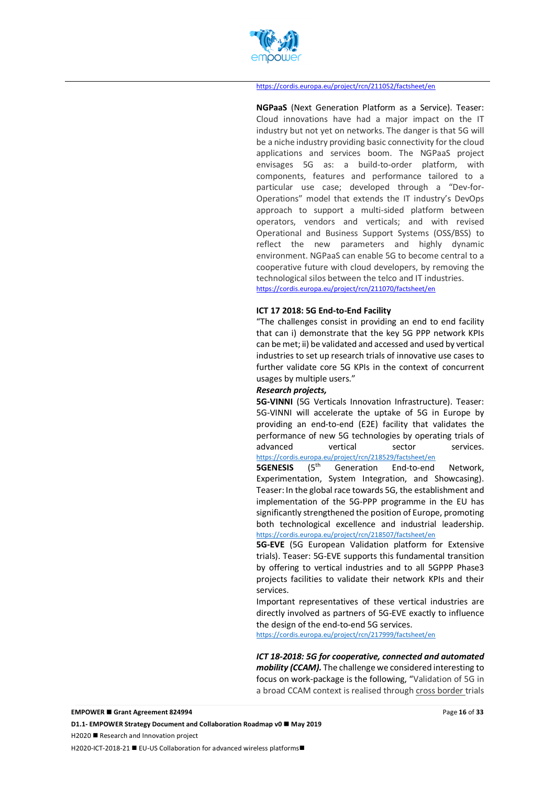

#### https://cordis.europa.eu/project/rcn/211052/factsheet/en

**NGPaaS** (Next Generation Platform as a Service). Teaser: Cloud innovations have had a major impact on the IT industry but not yet on networks. The danger is that 5G will be a niche industry providing basic connectivity for the cloud applications and services boom. The NGPaaS project envisages 5G as: a build-to-order platform, with components, features and performance tailored to a particular use case; developed through a "Dev-for-Operations" model that extends the IT industry's DevOps approach to support a multi-sided platform between operators, vendors and verticals; and with revised Operational and Business Support Systems (OSS/BSS) to reflect the new parameters and highly dynamic environment. NGPaaS can enable 5G to become central to a cooperative future with cloud developers, by removing the technological silos between the telco and IT industries. https://cordis.europa.eu/project/rcn/211070/factsheet/en

#### **ICT 17 2018: 5G End-to-End Facility**

"The challenges consist in providing an end to end facility that can i) demonstrate that the key 5G PPP network KPIs can be met; ii) be validated and accessed and used by vertical industries to set up research trials of innovative use cases to further validate core 5G KPIs in the context of concurrent usages by multiple users."

#### *Research projects,*

**5G-VINNI** (5G Verticals Innovation Infrastructure). Teaser: 5G-VINNI will accelerate the uptake of 5G in Europe by providing an end-to-end (E2E) facility that validates the performance of new 5G technologies by operating trials of advanced vertical sector services. https://cordis.europa.eu/project/rcn/218529/factsheet/en

**5GENESIS** (5<sup>th</sup> Generation End-to-end Network, Experimentation, System Integration, and Showcasing). Teaser: In the global race towards 5G, the establishment and implementation of the 5G-PPP programme in the EU has significantly strengthened the position of Europe, promoting both technological excellence and industrial leadership. https://cordis.europa.eu/project/rcn/218507/factsheet/en

**5G-EVE** (5G European Validation platform for Extensive trials). Teaser: 5G-EVE supports this fundamental transition by offering to vertical industries and to all 5GPPP Phase3 projects facilities to validate their network KPIs and their services.

Important representatives of these vertical industries are directly involved as partners of 5G-EVE exactly to influence the design of the end-to-end 5G services.

https://cordis.europa.eu/project/rcn/217999/factsheet/en

*ICT 18-2018: 5G for cooperative, connected and automated mobility (CCAM).* The challenge we considered interesting to focus on work-package is the following, "Validation of 5G in a broad CCAM context is realised through cross border trials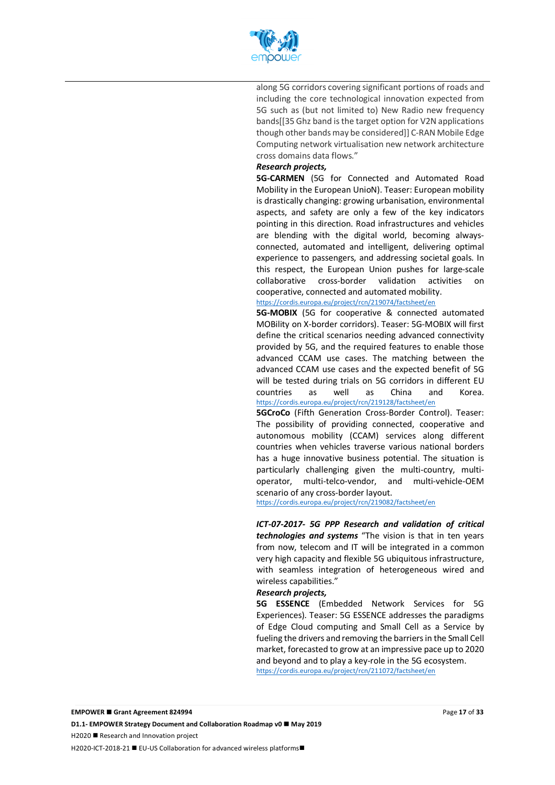

along 5G corridors covering significant portions of roads and including the core technological innovation expected from 5G such as (but not limited to) New Radio new frequency bands[[35 Ghz band is the target option for V2N applications though other bands may be considered]] C-RAN Mobile Edge Computing network virtualisation new network architecture cross domains data flows."

#### *Research projects,*

**5G-CARMEN** (5G for Connected and Automated Road Mobility in the European UnioN). Teaser: European mobility is drastically changing: growing urbanisation, environmental aspects, and safety are only a few of the key indicators pointing in this direction. Road infrastructures and vehicles are blending with the digital world, becoming alwaysconnected, automated and intelligent, delivering optimal experience to passengers, and addressing societal goals. In this respect, the European Union pushes for large-scale collaborative cross-border validation activities on cooperative, connected and automated mobility.

#### https://cordis.europa.eu/project/rcn/219074/factsheet/en

**5G-MOBIX** (5G for cooperative & connected automated MOBility on X-border corridors). Teaser: 5G-MOBIX will first define the critical scenarios needing advanced connectivity provided by 5G, and the required features to enable those advanced CCAM use cases. The matching between the advanced CCAM use cases and the expected benefit of 5G will be tested during trials on 5G corridors in different EU countries as well as China and Korea. https://cordis.europa.eu/project/rcn/219128/factsheet/en

**5GCroCo** (Fifth Generation Cross-Border Control). Teaser: The possibility of providing connected, cooperative and autonomous mobility (CCAM) services along different countries when vehicles traverse various national borders has a huge innovative business potential. The situation is particularly challenging given the multi-country, multioperator, multi-telco-vendor, and multi-vehicle-OEM scenario of any cross-border layout.

https://cordis.europa.eu/project/rcn/219082/factsheet/en

*ICT-07-2017- 5G PPP Research and validation of critical technologies and systems* "The vision is that in ten years from now, telecom and IT will be integrated in a common very high capacity and flexible 5G ubiquitous infrastructure, with seamless integration of heterogeneous wired and wireless capabilities."

#### *Research projects,*

**5G ESSENCE** (Embedded Network Services for 5G Experiences). Teaser: 5G ESSENCE addresses the paradigms of Edge Cloud computing and Small Cell as a Service by fueling the drivers and removing the barriers in the Small Cell market, forecasted to grow at an impressive pace up to 2020 and beyond and to play a key-role in the 5G ecosystem. https://cordis.europa.eu/project/rcn/211072/factsheet/en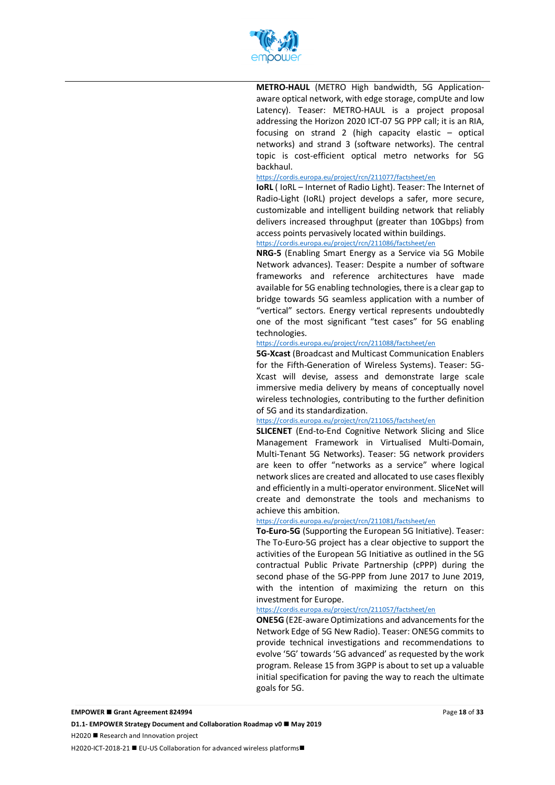

**METRO-HAUL** (METRO High bandwidth, 5G Applicationaware optical network, with edge storage, compUte and low Latency). Teaser: METRO-HAUL is a project proposal addressing the Horizon 2020 ICT-07 5G PPP call; it is an RIA, focusing on strand 2 (high capacity elastic – optical networks) and strand 3 (software networks). The central topic is cost-efficient optical metro networks for 5G backhaul.

#### https://cordis.europa.eu/project/rcn/211077/factsheet/en

**IoRL** ( IoRL – Internet of Radio Light). Teaser: The Internet of Radio-Light (IoRL) project develops a safer, more secure, customizable and intelligent building network that reliably delivers increased throughput (greater than 10Gbps) from access points pervasively located within buildings.

#### https://cordis.europa.eu/project/rcn/211086/factsheet/en

**NRG-5** (Enabling Smart Energy as a Service via 5G Mobile Network advances). Teaser: Despite a number of software frameworks and reference architectures have made available for 5G enabling technologies, there is a clear gap to bridge towards 5G seamless application with a number of "vertical" sectors. Energy vertical represents undoubtedly one of the most significant "test cases" for 5G enabling technologies.

#### https://cordis.europa.eu/project/rcn/211088/factsheet/en

**5G-Xcast** (Broadcast and Multicast Communication Enablers for the Fifth-Generation of Wireless Systems). Teaser: 5G-Xcast will devise, assess and demonstrate large scale immersive media delivery by means of conceptually novel wireless technologies, contributing to the further definition of 5G and its standardization.

#### https://cordis.europa.eu/project/rcn/211065/factsheet/en

**SLICENET** (End-to-End Cognitive Network Slicing and Slice Management Framework in Virtualised Multi-Domain, Multi-Tenant 5G Networks). Teaser: 5G network providers are keen to offer "networks as a service" where logical network slices are created and allocated to use cases flexibly and efficiently in a multi-operator environment. SliceNet will create and demonstrate the tools and mechanisms to achieve this ambition.

#### https://cordis.europa.eu/project/rcn/211081/factsheet/en

**To-Euro-5G** (Supporting the European 5G Initiative). Teaser: The To-Euro-5G project has a clear objective to support the activities of the European 5G Initiative as outlined in the 5G contractual Public Private Partnership (cPPP) during the second phase of the 5G-PPP from June 2017 to June 2019, with the intention of maximizing the return on this investment for Europe.

#### https://cordis.europa.eu/project/rcn/211057/factsheet/en

**ONE5G** (E2E-aware Optimizations and advancements for the Network Edge of 5G New Radio). Teaser: ONE5G commits to provide technical investigations and recommendations to evolve '5G' towards'5G advanced' as requested by the work program. Release 15 from 3GPP is about to set up a valuable initial specification for paving the way to reach the ultimate goals for 5G.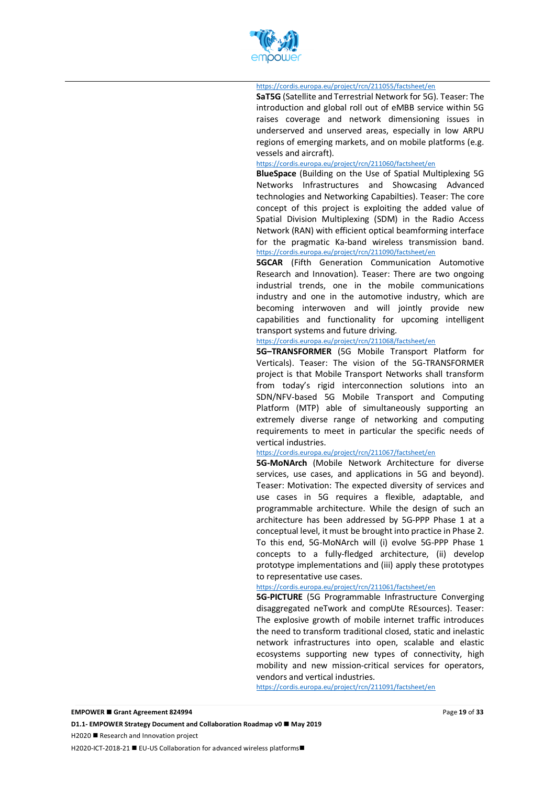

#### https://cordis.europa.eu/project/rcn/211055/factsheet/en

**SaT5G** (Satellite and Terrestrial Network for 5G). Teaser: The introduction and global roll out of eMBB service within 5G raises coverage and network dimensioning issues in underserved and unserved areas, especially in low ARPU regions of emerging markets, and on mobile platforms (e.g. vessels and aircraft).

#### https://cordis.europa.eu/project/rcn/211060/factsheet/en

**BlueSpace** (Building on the Use of Spatial Multiplexing 5G Networks Infrastructures and Showcasing Advanced technologies and Networking Capabilties). Teaser: The core concept of this project is exploiting the added value of Spatial Division Multiplexing (SDM) in the Radio Access Network (RAN) with efficient optical beamforming interface for the pragmatic Ka-band wireless transmission band. https://cordis.europa.eu/project/rcn/211090/factsheet/en

**5GCAR** (Fifth Generation Communication Automotive Research and Innovation). Teaser: There are two ongoing industrial trends, one in the mobile communications industry and one in the automotive industry, which are becoming interwoven and will jointly provide new capabilities and functionality for upcoming intelligent transport systems and future driving.

#### https://cordis.europa.eu/project/rcn/211068/factsheet/en

**5G–TRANSFORMER** (5G Mobile Transport Platform for Verticals). Teaser: The vision of the 5G-TRANSFORMER project is that Mobile Transport Networks shall transform from today's rigid interconnection solutions into an SDN/NFV-based 5G Mobile Transport and Computing Platform (MTP) able of simultaneously supporting an extremely diverse range of networking and computing requirements to meet in particular the specific needs of vertical industries.

#### https://cordis.europa.eu/project/rcn/211067/factsheet/en

**5G-MoNArch** (Mobile Network Architecture for diverse services, use cases, and applications in 5G and beyond). Teaser: Motivation: The expected diversity of services and use cases in 5G requires a flexible, adaptable, and programmable architecture. While the design of such an architecture has been addressed by 5G-PPP Phase 1 at a conceptual level, it must be brought into practice in Phase 2. To this end, 5G-MoNArch will (i) evolve 5G-PPP Phase 1 concepts to a fully-fledged architecture, (ii) develop prototype implementations and (iii) apply these prototypes to representative use cases.

#### https://cordis.europa.eu/project/rcn/211061/factsheet/en

**5G-PICTURE** (5G Programmable Infrastructure Converging disaggregated neTwork and compUte REsources). Teaser: The explosive growth of mobile internet traffic introduces the need to transform traditional closed, static and inelastic network infrastructures into open, scalable and elastic ecosystems supporting new types of connectivity, high mobility and new mission-critical services for operators, vendors and vertical industries.

https://cordis.europa.eu/project/rcn/211091/factsheet/en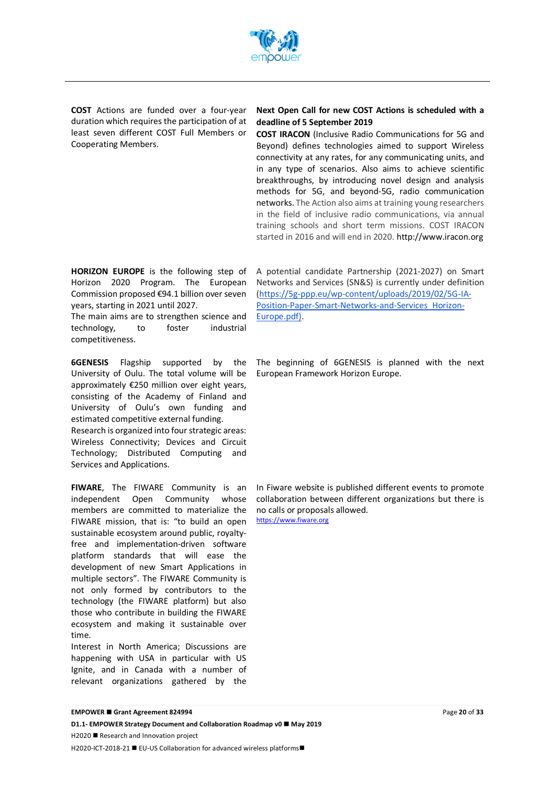

**COST** Actions are funded over a four-year duration which requires the participation of at least seven different COST Full Members or Cooperating Members.

#### **Next Open Call for new COST Actions is scheduled with a deadline of 5 September 2019**

**COST IRACON** (Inclusive Radio Communications for 5G and Beyond) defines technologies aimed to support Wireless connectivity at any rates, for any communicating units, and in any type of scenarios. Also aims to achieve scientific breakthroughs, by introducing novel design and analysis methods for 5G, and beyond-5G, radio communication networks. The Action also aims at training young researchers in the field of inclusive radio communications, via annual training schools and short term missions. COST IRACON started in 2016 and will end in 2020. http://www.iracon.org

**HORIZON EUROPE** is the following step of Horizon 2020 Program. The European Commission proposed €94.1 billion over seven years, starting in 2021 until 2027.

The main aims are to strengthen science and technology, to foster industrial competitiveness.

**6GENESIS** Flagship supported by the University of Oulu. The total volume will be approximately €250 million over eight years, consisting of the Academy of Finland and University of Oulu's own funding and estimated competitive external funding. Research is organized into four strategic areas: Wireless Connectivity; Devices and Circuit

Technology; Distributed Computing and Services and Applications.

**FIWARE**, The FIWARE Community is an independent Open Community whose members are committed to materialize the FIWARE mission, that is: "to build an open sustainable ecosystem around public, royaltyfree and implementation-driven software platform standards that will ease the development of new Smart Applications in multiple sectors". The FIWARE Community is not only formed by contributors to the technology (the FIWARE platform) but also those who contribute in building the FIWARE ecosystem and making it sustainable over time.

Interest in North America; Discussions are happening with USA in particular with US Ignite, and in Canada with a number of relevant organizations gathered by the

A potential candidate Partnership (2021-2027) on Smart Networks and Services (SN&S) is currently under definition (https://5g-ppp.eu/wp-content/uploads/2019/02/5G-IA-Position-Paper-Smart-Networks-and-Services\_Horizon-Europe.pdf).

The beginning of 6GENESIS is planned with the next European Framework Horizon Europe.

In Fiware website is published different events to promote collaboration between different organizations but there is no calls or proposals allowed. https://www.fiware.org

**D1.1- EMPOWER Strategy Document and Collaboration Roadmap v0 ■ May 2019** 

 $H2020$  **Research and Innovation project**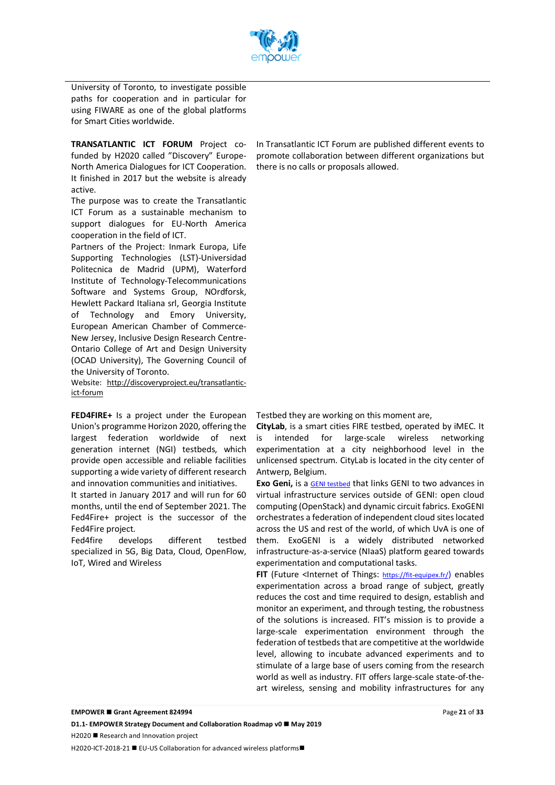

University of Toronto, to investigate possible paths for cooperation and in particular for using FIWARE as one of the global platforms for Smart Cities worldwide.

**TRANSATLANTIC ICT FORUM** Project cofunded by H2020 called "Discovery" Europe-North America Dialogues for ICT Cooperation. It finished in 2017 but the website is already active.

The purpose was to create the Transatlantic ICT Forum as a sustainable mechanism to support dialogues for EU-North America cooperation in the field of ICT.

Partners of the Project: Inmark Europa, Life Supporting Technologies (LST)-Universidad Politecnica de Madrid (UPM), Waterford Institute of Technology-Telecommunications Software and Systems Group, NOrdforsk, Hewlett Packard Italiana srl, Georgia Institute of Technology and Emory University, European American Chamber of Commerce-New Jersey, Inclusive Design Research Centre-Ontario College of Art and Design University (OCAD University), The Governing Council of the University of Toronto.

Website: http://discoveryproject.eu/transatlanticict-forum

**FED4FIRE+** Is a project under the European Union's programme Horizon 2020, offering the largest federation worldwide of next generation internet (NGI) testbeds, which provide open accessible and reliable facilities supporting a wide variety of different research and innovation communities and initiatives.

It started in January 2017 and will run for 60 months, until the end of September 2021. The Fed4Fire+ project is the successor of the Fed4Fire project.

Fed4fire develops different testbed specialized in 5G, Big Data, Cloud, OpenFlow, IoT, Wired and Wireless

In Transatlantic ICT Forum are published different events to promote collaboration between different organizations but there is no calls or proposals allowed.

Testbed they are working on this moment are,

**CityLab**, is a smart cities FIRE testbed, operated by iMEC. It is intended for large-scale wireless networking experimentation at a city neighborhood level in the unlicensed spectrum. CityLab is located in the city center of Antwerp, Belgium.

**Exo Geni,** is a **GENI testbed** that links GENI to two advances in virtual infrastructure services outside of GENI: open cloud computing (OpenStack) and dynamic circuit fabrics. ExoGENI orchestrates a federation of independent cloud sites located across the US and rest of the world, of which UvA is one of them. ExoGENI is a widely distributed networked infrastructure-as-a-service (NIaaS) platform geared towards experimentation and computational tasks.

FIT (Future <Internet of Things: https://fit-equipex.fr/) enables experimentation across a broad range of subject, greatly reduces the cost and time required to design, establish and monitor an experiment, and through testing, the robustness of the solutions is increased. FIT's mission is to provide a large-scale experimentation environment through the federation of testbeds that are competitive at the worldwide level, allowing to incubate advanced experiments and to stimulate of a large base of users coming from the research world as well as industry. FIT offers large-scale state-of-theart wireless, sensing and mobility infrastructures for any

H2020-ICT-2018-21 ■ EU-US Collaboration for advanced wireless platforms■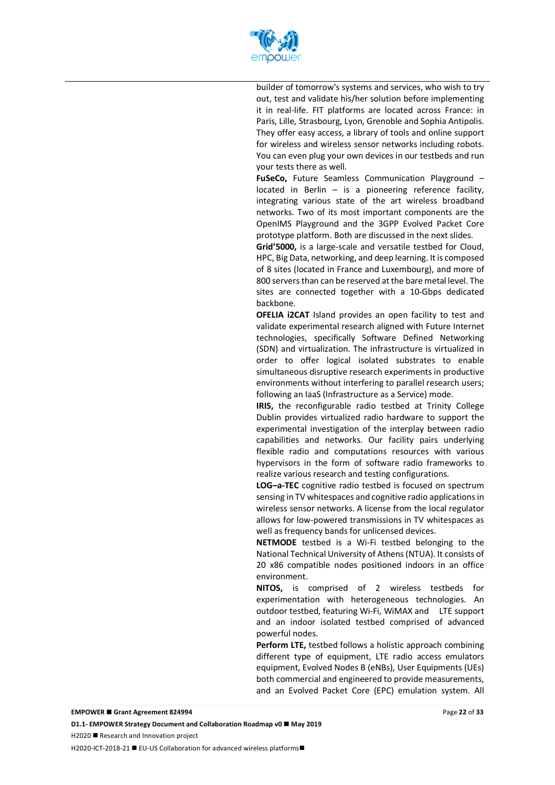

builder of tomorrow's systems and services, who wish to try out, test and validate his/her solution before implementing it in real-life. FIT platforms are located across France: in Paris, Lille, Strasbourg, Lyon, Grenoble and Sophia Antipolis. They offer easy access, a library of tools and online support for wireless and wireless sensor networks including robots. You can even plug your own devices in our testbeds and run your tests there as well.

**FuSeCo,** Future Seamless Communication Playground – located in Berlin – is a pioneering reference facility, integrating various state of the art wireless broadband networks. Two of its most important components are the OpenIMS Playground and the 3GPP Evolved Packet Core prototype platform. Both are discussed in the next slides.

**Grid'5000,** is a large-scale and versatile testbed for Cloud, HPC, Big Data, networking, and deep learning. It is composed of 8 sites (located in France and Luxembourg), and more of 800 servers than can be reserved at the bare metal level. The sites are connected together with a 10-Gbps dedicated backbone.

**OFELIA i2CAT** Island provides an open facility to test and validate experimental research aligned with Future Internet technologies, specifically Software Defined Networking (SDN) and virtualization. The infrastructure is virtualized in order to offer logical isolated substrates to enable simultaneous disruptive research experiments in productive environments without interfering to parallel research users; following an IaaS (Infrastructure as a Service) mode.

**IRIS,** the reconfigurable radio testbed at Trinity College Dublin provides virtualized radio hardware to support the experimental investigation of the interplay between radio capabilities and networks. Our facility pairs underlying flexible radio and computations resources with various hypervisors in the form of software radio frameworks to realize various research and testing configurations.

**LOG–a-TEC** cognitive radio testbed is focused on spectrum sensing in TV whitespaces and cognitive radio applications in wireless sensor networks. A license from the local regulator allows for low-powered transmissions in TV whitespaces as well as frequency bands for unlicensed devices.

**NETMODE** testbed is a Wi-Fi testbed belonging to the National Technical University of Athens (NTUA). It consists of 20 x86 compatible nodes positioned indoors in an office environment.

**NITOS,** is comprised of 2 wireless testbeds for experimentation with heterogeneous technologies. An outdoor testbed, featuring Wi-Fi, WiMAX and LTE support and an indoor isolated testbed comprised of advanced powerful nodes.

**Perform LTE,** testbed follows a holistic approach combining different type of equipment, LTE radio access emulators equipment, Evolved Nodes B (eNBs), User Equipments (UEs) both commercial and engineered to provide measurements, and an Evolved Packet Core (EPC) emulation system. All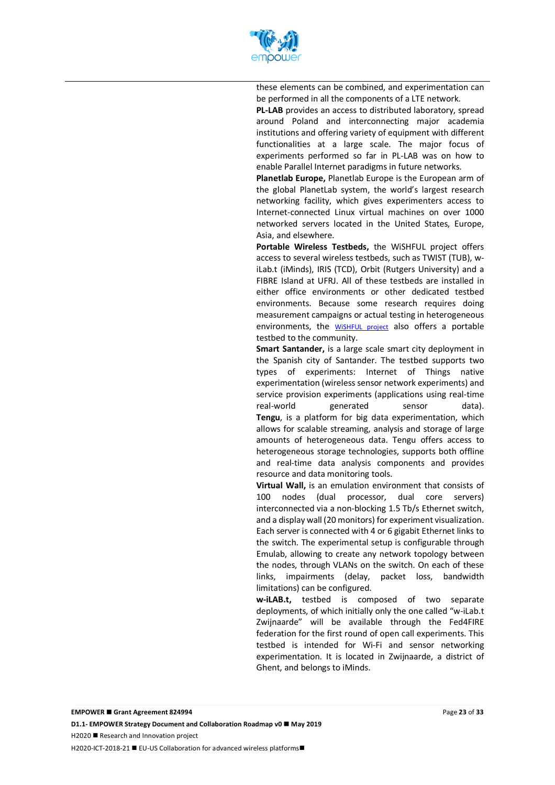

these elements can be combined, and experimentation can be performed in all the components of a LTE network.

**PL-LAB** provides an access to distributed laboratory, spread around Poland and interconnecting major academia institutions and offering variety of equipment with different functionalities at a large scale. The major focus of experiments performed so far in PL-LAB was on how to enable Parallel Internet paradigms in future networks.

**Planetlab Europe,** Planetlab Europe is the European arm of the global PlanetLab system, the world's largest research networking facility, which gives experimenters access to Internet-connected Linux virtual machines on over 1000 networked servers located in the United States, Europe, Asia, and elsewhere.

**Portable Wireless Testbeds,** the WiSHFUL project offers access to several wireless testbeds, such as TWIST (TUB), wiLab.t (iMinds), IRIS (TCD), Orbit (Rutgers University) and a FIBRE Island at UFRJ. All of these testbeds are installed in either office environments or other dedicated testbed environments. Because some research requires doing measurement campaigns or actual testing in heterogeneous environments, the WiSHFUL project also offers a portable testbed to the community.

**Smart Santander,** is a large scale smart city deployment in the Spanish city of Santander. The testbed supports two types of experiments: Internet of Things native experimentation (wireless sensor network experiments) and service provision experiments (applications using real-time real-world generated sensor data). **Tengu**, is a platform for big data experimentation, which allows for scalable streaming, analysis and storage of large amounts of heterogeneous data. Tengu offers access to heterogeneous storage technologies, supports both offline and real-time data analysis components and provides resource and data monitoring tools.

**Virtual Wall,** is an emulation environment that consists of 100 nodes (dual processor, dual core servers) interconnected via a non-blocking 1.5 Tb/s Ethernet switch, and a display wall (20 monitors) for experiment visualization. Each server is connected with 4 or 6 gigabit Ethernet links to the switch. The experimental setup is configurable through Emulab, allowing to create any network topology between the nodes, through VLANs on the switch. On each of these links, impairments (delay, packet loss, bandwidth limitations) can be configured.

**w-iLAB.t,** testbed is composed of two separate deployments, of which initially only the one called "w-iLab.t Zwijnaarde" will be available through the Fed4FIRE federation for the first round of open call experiments. This testbed is intended for Wi-Fi and sensor networking experimentation. It is located in Zwijnaarde, a district of Ghent, and belongs to iMinds.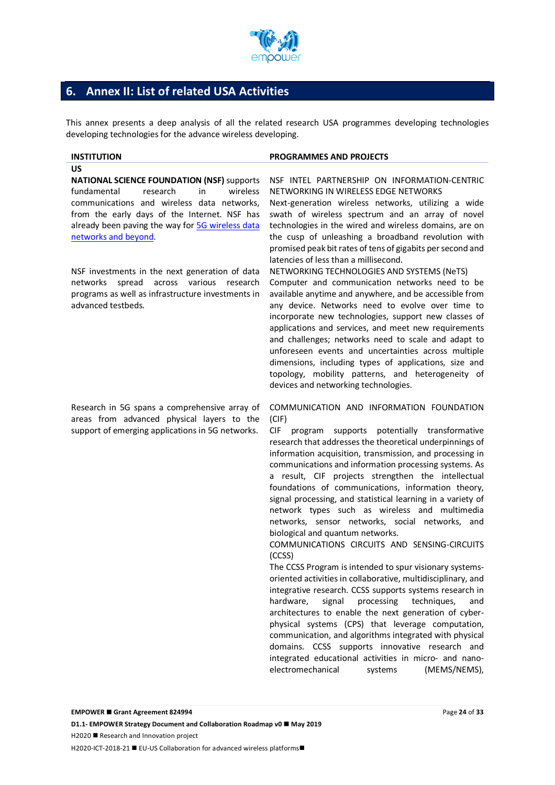

# **6. Annex II: List of related USA Activities**

This annex presents a deep analysis of all the related research USA programmes developing technologies developing technologies for the advance wireless developing.

**US**

**NATIONAL SCIENCE FOUNDATION (NSF)** supports fundamental research in wireless communications and wireless data networks, from the early days of the Internet. NSF has already been paving the way for 5G wireless data networks and beyond.

NSF investments in the next generation of data networks spread across various research programs as well as infrastructure investments in advanced testbeds.

#### Research in 5G spans a comprehensive array of areas from advanced physical layers to the support of emerging applications in 5G networks.

#### **INSTITUTION PROGRAMMES AND PROJECTS**

#### NSF INTEL PARTNERSHIP ON INFORMATION-CENTRIC NETWORKING IN WIRELESS EDGE NETWORKS

Next-generation wireless networks, utilizing a wide swath of wireless spectrum and an array of novel technologies in the wired and wireless domains, are on the cusp of unleashing a broadband revolution with promised peak bit rates of tens of gigabits per second and latencies of less than a millisecond.

NETWORKING TECHNOLOGIES AND SYSTEMS (NeTS) Computer and communication networks need to be available anytime and anywhere, and be accessible from any device. Networks need to evolve over time to incorporate new technologies, support new classes of applications and services, and meet new requirements and challenges; networks need to scale and adapt to unforeseen events and uncertainties across multiple dimensions, including types of applications, size and topology, mobility patterns, and heterogeneity of devices and networking technologies.

COMMUNICATION AND INFORMATION FOUNDATION (CIF)

CIF program supports potentially transformative research that addresses the theoretical underpinnings of information acquisition, transmission, and processing in communications and information processing systems. As a result, CIF projects strengthen the intellectual foundations of communications, information theory, signal processing, and statistical learning in a variety of network types such as wireless and multimedia networks, sensor networks, social networks, and biological and quantum networks.

COMMUNICATIONS CIRCUITS AND SENSING-CIRCUITS (CCSS)

The CCSS Program is intended to spur visionary systemsoriented activities in collaborative, multidisciplinary, and integrative research. CCSS supports systems research in hardware, signal processing techniques, and architectures to enable the next generation of cyberphysical systems (CPS) that leverage computation, communication, and algorithms integrated with physical domains. CCSS supports innovative research and integrated educational activities in micro- and nanoelectromechanical systems (MEMS/NEMS),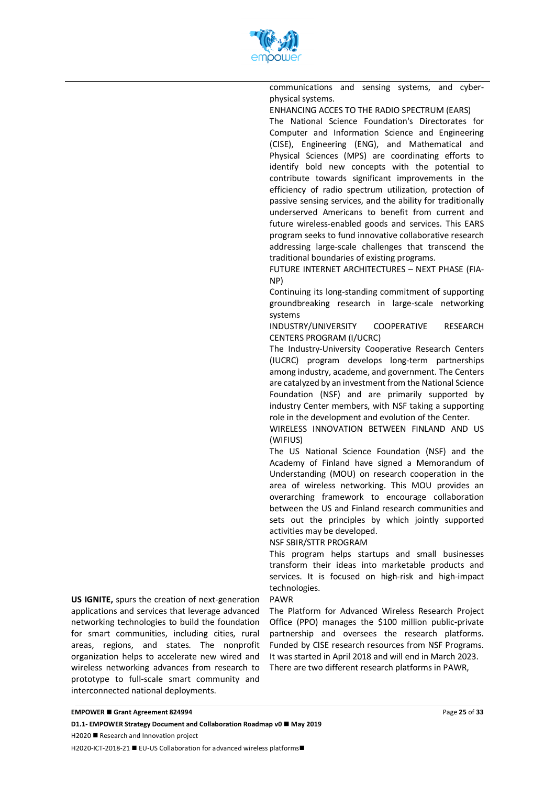

communications and sensing systems, and cyberphysical systems.

ENHANCING ACCES TO THE RADIO SPECTRUM (EARS) The National Science Foundation's Directorates for Computer and Information Science and Engineering (CISE), Engineering (ENG), and Mathematical and Physical Sciences (MPS) are coordinating efforts to identify bold new concepts with the potential to contribute towards significant improvements in the efficiency of radio spectrum utilization, protection of passive sensing services, and the ability for traditionally underserved Americans to benefit from current and future wireless-enabled goods and services. This EARS program seeks to fund innovative collaborative research addressing large-scale challenges that transcend the traditional boundaries of existing programs.

FUTURE INTERNET ARCHITECTURES – NEXT PHASE (FIA-NP)

Continuing its long-standing commitment of supporting groundbreaking research in large-scale networking systems

INDUSTRY/UNIVERSITY COOPERATIVE RESEARCH CENTERS PROGRAM (I/UCRC)

The Industry-University Cooperative Research Centers (IUCRC) program develops long-term partnerships among industry, academe, and government. The Centers are catalyzed by an investment from the National Science Foundation (NSF) and are primarily supported by industry Center members, with NSF taking a supporting role in the development and evolution of the Center.

WIRELESS INNOVATION BETWEEN FINLAND AND US (WIFIUS)

The US National Science Foundation (NSF) and the Academy of Finland have signed a Memorandum of Understanding (MOU) on research cooperation in the area of wireless networking. This MOU provides an overarching framework to encourage collaboration between the US and Finland research communities and sets out the principles by which jointly supported activities may be developed.

NSF SBIR/STTR PROGRAM

This program helps startups and small businesses transform their ideas into marketable products and services. It is focused on high-risk and high-impact technologies.

PAWR

The Platform for Advanced Wireless Research Project Office (PPO) manages the \$100 million public-private partnership and oversees the research platforms. Funded by CISE research resources from NSF Programs. It was started in April 2018 and will end in March 2023. There are two different research platforms in PAWR,

**US IGNITE,** spurs the creation of next-generation applications and services that leverage advanced networking technologies to build the foundation for smart communities, including cities, rural areas, regions, and states. The nonprofit organization helps to accelerate new wired and wireless networking advances from research to prototype to full-scale smart community and interconnected national deployments.

**D1.1- EMPOWER Strategy Document and Collaboration Roadmap v0 ■ May 2019**  $H2020$  **Research and Innovation project** H2020-ICT-2018-21 ■ EU-US Collaboration for advanced wireless platforms■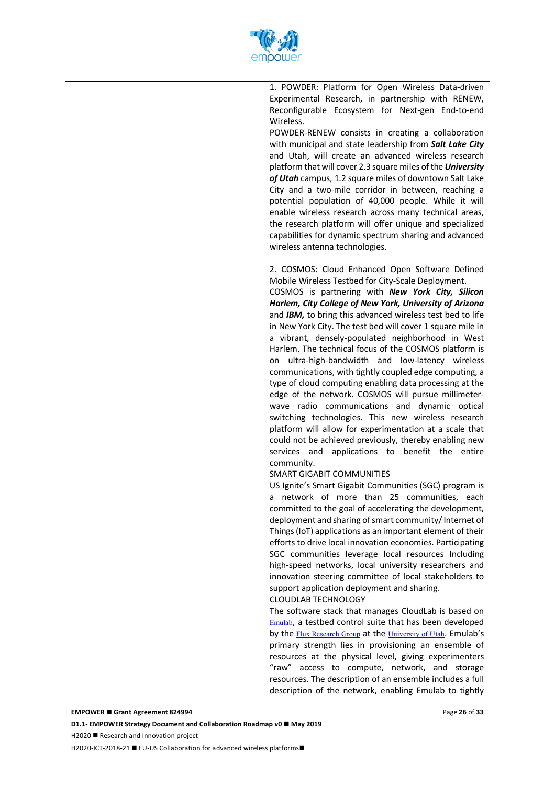

1. POWDER: Platform for Open Wireless Data-driven Experimental Research, in partnership with RENEW, Reconfigurable Ecosystem for Next-gen End-to-end Wireless.

POWDER-RENEW consists in creating a collaboration with municipal and state leadership from *Salt Lake City* and Utah, will create an advanced wireless research platform that will cover 2.3 square miles of the *University of Utah* campus, 1.2 square miles of downtown Salt Lake City and a two-mile corridor in between, reaching a potential population of 40,000 people. While it will enable wireless research across many technical areas, the research platform will offer unique and specialized capabilities for dynamic spectrum sharing and advanced wireless antenna technologies.

2. COSMOS: Cloud Enhanced Open Software Defined Mobile Wireless Testbed for City-Scale Deployment.

COSMOS is partnering with *New York City, Silicon Harlem, City College of New York, University of Arizona* and *IBM,* to bring this advanced wireless test bed to life in New York City. The test bed will cover 1 square mile in a vibrant, densely-populated neighborhood in West Harlem. The technical focus of the COSMOS platform is on ultra-high-bandwidth and low-latency wireless communications, with tightly coupled edge computing, a type of cloud computing enabling data processing at the edge of the network. COSMOS will pursue millimeterwave radio communications and dynamic optical switching technologies. This new wireless research platform will allow for experimentation at a scale that could not be achieved previously, thereby enabling new services and applications to benefit the entire community.

#### SMART GIGABIT COMMUNITIES

US Ignite's Smart Gigabit Communities (SGC) program is a network of more than 25 communities, each committed to the goal of accelerating the development, deployment and sharing of smart community/ Internet of Things (IoT) applications as an important element of their efforts to drive local innovation economies. Participating SGC communities leverage local resources Including high-speed networks, local university researchers and innovation steering committee of local stakeholders to support application deployment and sharing.

CLOUDLAB TECHNOLOGY

The software stack that manages CloudLab is based on Emulab, a testbed control suite that has been developed by the Flux Research Group at the University of Utah. Emulab's primary strength lies in provisioning an ensemble of resources at the physical level, giving experimenters "raw" access to compute, network, and storage resources. The description of an ensemble includes a full description of the network, enabling Emulab to tightly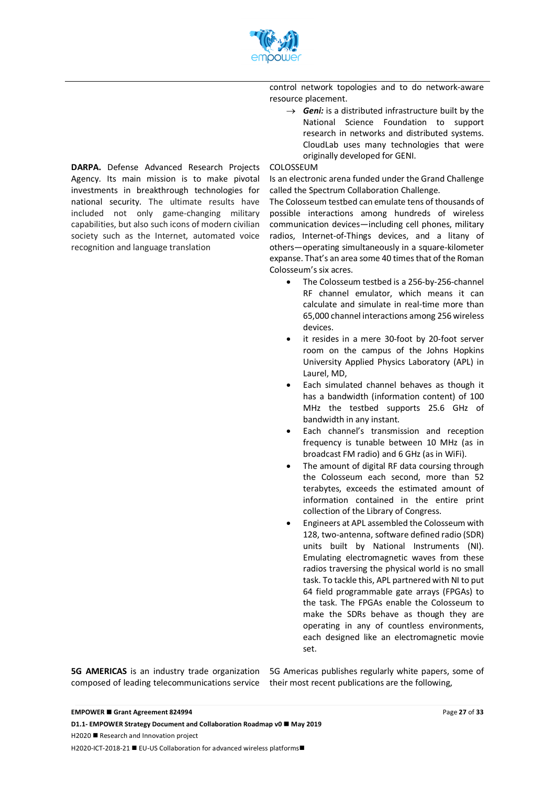

control network topologies and to do network-aware resource placement.

 $\rightarrow$  *Geni:* is a distributed infrastructure built by the National Science Foundation to support research in networks and distributed systems. CloudLab uses many technologies that were originally developed for GENI.

#### COLOSSEUM

Is an electronic arena funded under the Grand Challenge called the Spectrum Collaboration Challenge.

The Colosseum testbed can emulate tens of thousands of possible interactions among hundreds of wireless communication devices—including cell phones, military radios, Internet-of-Things devices, and a litany of others—operating simultaneously in a square-kilometer expanse. That's an area some 40 times that of the Roman Colosseum's six acres.

- The Colosseum testbed is a 256-by-256-channel RF channel emulator, which means it can calculate and simulate in real-time more than 65,000 channel interactions among 256 wireless devices.
- it resides in a mere 30-foot by 20-foot server room on the campus of the Johns Hopkins University Applied Physics Laboratory (APL) in Laurel, MD,
- Each simulated channel behaves as though it has a bandwidth (information content) of 100 MHz the testbed supports 25.6 GHz of bandwidth in any instant.
- Each channel's transmission and reception frequency is tunable between 10 MHz (as in broadcast FM radio) and 6 GHz (as in WiFi).
- The amount of digital RF data coursing through the Colosseum each second, more than 52 terabytes, exceeds the estimated amount of information contained in the entire print collection of the Library of Congress.
- Engineers at APL assembled the Colosseum with 128, two-antenna, software defined radio (SDR) units built by National Instruments (NI). Emulating electromagnetic waves from these radios traversing the physical world is no small task. To tackle this, APL partnered with NI to put 64 field programmable gate arrays (FPGAs) to the task. The FPGAs enable the Colosseum to make the SDRs behave as though they are operating in any of countless environments, each designed like an electromagnetic movie set.

composed of leading telecommunications service their most recent publications are the following,

**5G AMERICAS** is an industry trade organization 5G Americas publishes regularly white papers, some of

Page **27** of **33**

**DARPA.** Defense Advanced Research Projects Agency. Its main mission is to make pivotal investments in breakthrough technologies for national security. The ultimate results have included not only game-changing military capabilities, but also such icons of modern civilian society such as the Internet, automated voice recognition and language translation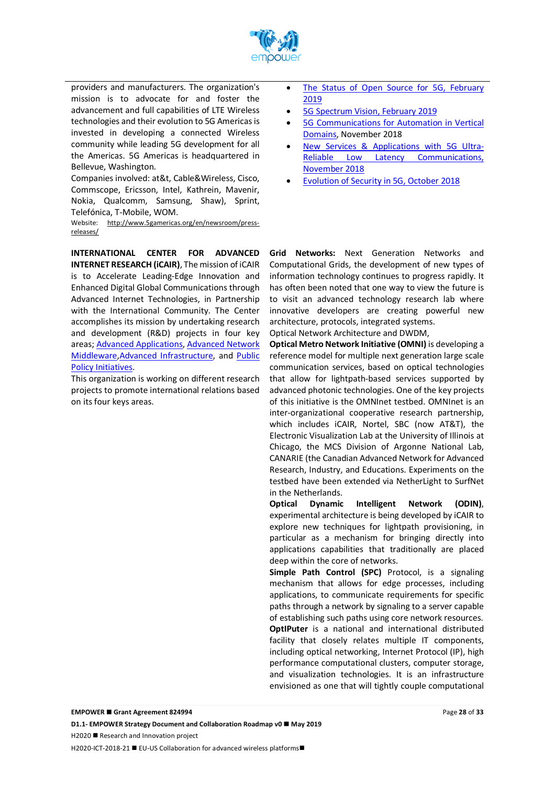

providers and manufacturers. The organization's mission is to advocate for and foster the advancement and full capabilities of LTE Wireless technologies and their evolution to 5G Americas is invested in developing a connected Wireless community while leading 5G development for all the Americas. 5G Americas is headquartered in Bellevue, Washington.

Companies involved: at&t, Cable&Wireless, Cisco, Commscope, Ericsson, Intel, Kathrein, Mavenir, Nokia, Qualcomm, Samsung, Shaw), Sprint, Telefónica, T-Mobile, WOM.

Website: http://www.5gamericas.org/en/newsroom/pressreleases/

**INTERNATIONAL CENTER FOR ADVANCED INTERNET RESEARCH (iCAIR)**, The mission of iCAIR is to Accelerate Leading-Edge Innovation and Enhanced Digital Global Communications through Advanced Internet Technologies, in Partnership with the International Community. The Center accomplishes its mission by undertaking research and development (R&D) projects in four key areas; Advanced Applications, Advanced Network Middleware,Advanced Infrastructure, and Public Policy Initiatives.

This organization is working on different research projects to promote international relations based on its four keys areas.

- The Status of Open Source for 5G, February 2019
- 5G Spectrum Vision, February 2019
- 5G Communications for Automation in Vertical Domains, November 2018
- New Services & Applications with 5G Ultra-Reliable Low Latency Communications, November 2018
- Evolution of Security in 5G, October 2018

**Grid Networks:** Next Generation Networks and Computational Grids, the development of new types of information technology continues to progress rapidly. It has often been noted that one way to view the future is to visit an advanced technology research lab where innovative developers are creating powerful new architecture, protocols, integrated systems.

Optical Network Architecture and DWDM,

**Optical Metro Network Initiative (OMNI)** is developing a reference model for multiple next generation large scale communication services, based on optical technologies that allow for lightpath-based services supported by advanced photonic technologies. One of the key projects of this initiative is the OMNInet testbed. OMNInet is an inter-organizational cooperative research partnership, which includes iCAIR, Nortel, SBC (now AT&T), the Electronic Visualization Lab at the University of Illinois at Chicago, the MCS Division of Argonne National Lab, CANARIE (the Canadian Advanced Network for Advanced Research, Industry, and Educations. Experiments on the testbed have been extended via NetherLight to SurfNet in the Netherlands.

**Optical Dynamic Intelligent Network (ODIN)**, experimental architecture is being developed by iCAIR to explore new techniques for lightpath provisioning, in particular as a mechanism for bringing directly into applications capabilities that traditionally are placed deep within the core of networks.

**Simple Path Control (SPC)** Protocol, is a signaling mechanism that allows for edge processes, including applications, to communicate requirements for specific paths through a network by signaling to a server capable of establishing such paths using core network resources. **OptIPuter** is a national and international distributed facility that closely relates multiple IT components, including optical networking, Internet Protocol (IP), high performance computational clusters, computer storage, and visualization technologies. It is an infrastructure envisioned as one that will tightly couple computational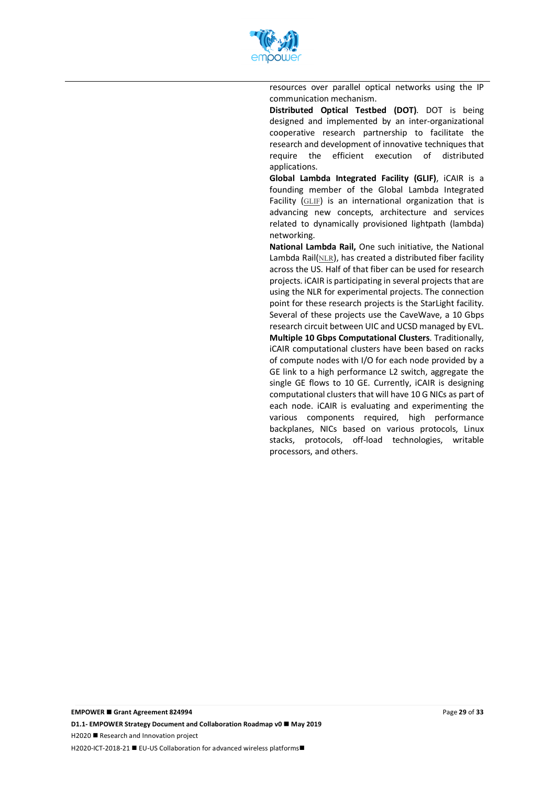

resources over parallel optical networks using the IP communication mechanism.

**Distributed Optical Testbed (DOT)**. DOT is being designed and implemented by an inter-organizational cooperative research partnership to facilitate the research and development of innovative techniques that require the efficient execution of distributed applications.

**Global Lambda Integrated Facility (GLIF)**, iCAIR is a founding member of the Global Lambda Integrated Facility (GLIF) is an international organization that is advancing new concepts, architecture and services related to dynamically provisioned lightpath (lambda) networking.

**National Lambda Rail,** One such initiative, the National Lambda Rail $(MLR)$ , has created a distributed fiber facility across the US. Half of that fiber can be used for research projects. iCAIR is participating in several projects that are using the NLR for experimental projects. The connection point for these research projects is the StarLight facility. Several of these projects use the CaveWave, a 10 Gbps research circuit between UIC and UCSD managed by EVL. **Multiple 10 Gbps Computational Clusters**. Traditionally, iCAIR computational clusters have been based on racks of compute nodes with I/O for each node provided by a GE link to a high performance L2 switch, aggregate the single GE flows to 10 GE. Currently, iCAIR is designing computational clusters that will have 10 G NICs as part of each node. iCAIR is evaluating and experimenting the various components required, high performance backplanes, NICs based on various protocols, Linux stacks, protocols, off-load technologies, writable processors, and others.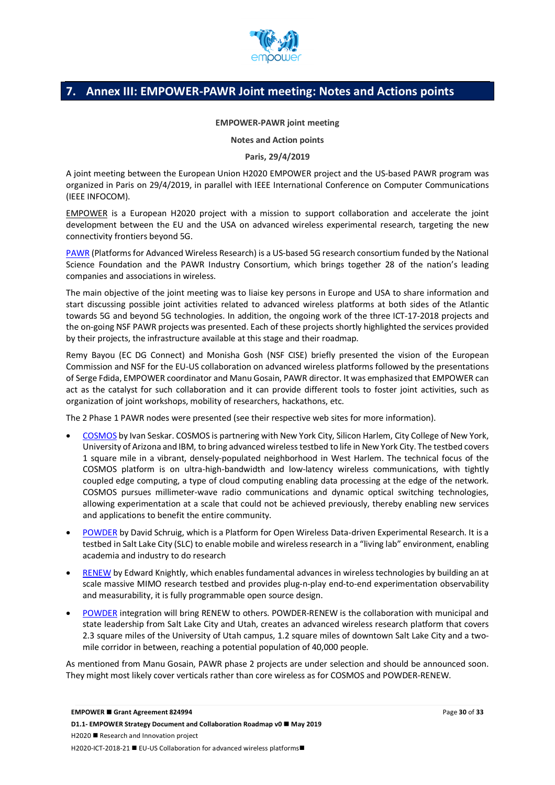

# **7. Annex III: EMPOWER-PAWR Joint meeting: Notes and Actions points**

#### **EMPOWER-PAWR joint meeting**

**Notes and Action points**

#### **Paris, 29/4/2019**

A joint meeting between the European Union H2020 EMPOWER project and the US-based PAWR program was organized in Paris on 29/4/2019, in parallel with IEEE International Conference on Computer Communications (IEEE INFOCOM).

EMPOWER is a European H2020 project with a mission to support collaboration and accelerate the joint development between the EU and the USA on advanced wireless experimental research, targeting the new connectivity frontiers beyond 5G.

PAWR (Platforms for Advanced Wireless Research) is a US-based 5G research consortium funded by the National Science Foundation and the PAWR Industry Consortium, which brings together 28 of the nation's leading companies and associations in wireless.

The main objective of the joint meeting was to liaise key persons in Europe and USA to share information and start discussing possible joint activities related to advanced wireless platforms at both sides of the Atlantic towards 5G and beyond 5G technologies. In addition, the ongoing work of the three ICT-17-2018 projects and the on-going NSF PAWR projects was presented. Each of these projects shortly highlighted the services provided by their projects, the infrastructure available at this stage and their roadmap.

Remy Bayou (EC DG Connect) and Monisha Gosh (NSF CISE) briefly presented the vision of the European Commission and NSF for the EU-US collaboration on advanced wireless platforms followed by the presentations of Serge Fdida, EMPOWER coordinator and Manu Gosain, PAWR director. It was emphasized that EMPOWER can act as the catalyst for such collaboration and it can provide different tools to foster joint activities, such as organization of joint workshops, mobility of researchers, hackathons, etc.

The 2 Phase 1 PAWR nodes were presented (see their respective web sites for more information).

- COSMOS by Ivan Seskar. COSMOS is partnering with New York City, Silicon Harlem, City College of New York, University of Arizona and IBM, to bring advanced wireless testbed to life in New York City. The testbed covers 1 square mile in a vibrant, densely-populated neighborhood in West Harlem. The technical focus of the COSMOS platform is on ultra-high-bandwidth and low-latency wireless communications, with tightly coupled edge computing, a type of cloud computing enabling data processing at the edge of the network. COSMOS pursues millimeter-wave radio communications and dynamic optical switching technologies, allowing experimentation at a scale that could not be achieved previously, thereby enabling new services and applications to benefit the entire community.
- POWDER by David Schruig, which is a Platform for Open Wireless Data-driven Experimental Research. It is a testbed in Salt Lake City (SLC) to enable mobile and wireless research in a "living lab" environment, enabling academia and industry to do research
- RENEW by Edward Knightly, which enables fundamental advances in wireless technologies by building an at scale massive MIMO research testbed and provides plug-n-play end-to-end experimentation observability and measurability, it is fully programmable open source design.
- POWDER integration will bring RENEW to others. POWDER-RENEW is the collaboration with municipal and state leadership from Salt Lake City and Utah, creates an advanced wireless research platform that covers 2.3 square miles of the University of Utah campus, 1.2 square miles of downtown Salt Lake City and a twomile corridor in between, reaching a potential population of 40,000 people.

As mentioned from Manu Gosain, PAWR phase 2 projects are under selection and should be announced soon. They might most likely cover verticals rather than core wireless as for COSMOS and POWDER-RENEW.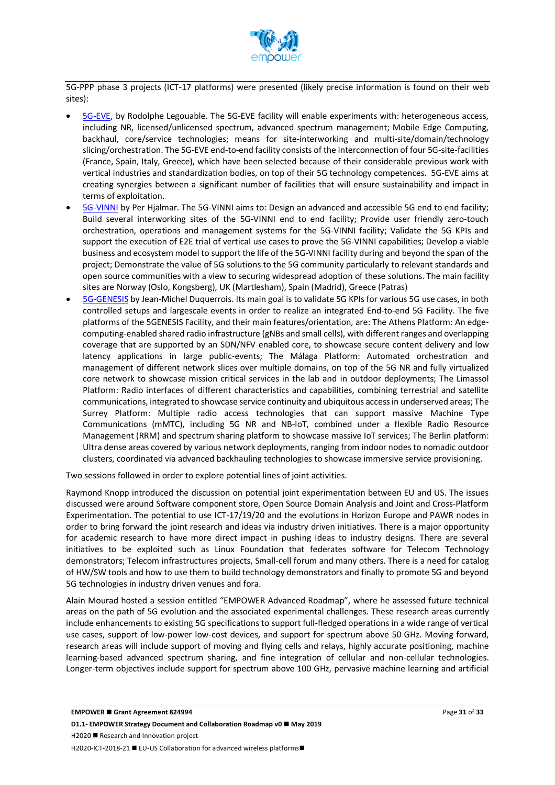

5G-PPP phase 3 projects (ICT-17 platforms) were presented (likely precise information is found on their web sites):

- 5G-EVE, by Rodolphe Legouable. The 5G-EVE facility will enable experiments with: heterogeneous access, including NR, licensed/unlicensed spectrum, advanced spectrum management; Mobile Edge Computing, backhaul, core/service technologies; means for site-interworking and multi-site/domain/technology slicing/orchestration. The 5G-EVE end-to-end facility consists of the interconnection of four 5G-site-facilities (France, Spain, Italy, Greece), which have been selected because of their considerable previous work with vertical industries and standardization bodies, on top of their 5G technology competences. 5G-EVE aims at creating synergies between a significant number of facilities that will ensure sustainability and impact in terms of exploitation.
- 5G-VINNI by Per Hjalmar. The 5G-VINNI aims to: Design an advanced and accessible 5G end to end facility; Build several interworking sites of the 5G-VINNI end to end facility; Provide user friendly zero-touch orchestration, operations and management systems for the 5G-VINNI facility; Validate the 5G KPIs and support the execution of E2E trial of vertical use cases to prove the 5G-VINNI capabilities; Develop a viable business and ecosystem model to support the life of the 5G-VINNI facility during and beyond the span of the project; Demonstrate the value of 5G solutions to the 5G community particularly to relevant standards and open source communities with a view to securing widespread adoption of these solutions. The main facility sites are Norway (Oslo, Kongsberg), UK (Martlesham), Spain (Madrid), Greece (Patras)
- 5G-GENESIS by Jean-Michel Duquerrois. Its main goal is to validate 5G KPIs for various 5G use cases, in both controlled setups and largescale events in order to realize an integrated End-to-end 5G Facility. The five platforms of the 5GENESIS Facility, and their main features/orientation, are: The Athens Platform: An edgecomputing-enabled shared radio infrastructure (gNBs and small cells), with different ranges and overlapping coverage that are supported by an SDN/NFV enabled core, to showcase secure content delivery and low latency applications in large public-events; The Málaga Platform: Automated orchestration and management of different network slices over multiple domains, on top of the 5G NR and fully virtualized core network to showcase mission critical services in the lab and in outdoor deployments; The Limassol Platform: Radio interfaces of different characteristics and capabilities, combining terrestrial and satellite communications, integrated to showcase service continuity and ubiquitous access in underserved areas; The Surrey Platform: Multiple radio access technologies that can support massive Machine Type Communications (mMTC), including 5G NR and NB-IoT, combined under a flexible Radio Resource Management (RRM) and spectrum sharing platform to showcase massive IoT services; The Berlin platform: Ultra dense areas covered by various network deployments, ranging from indoor nodes to nomadic outdoor clusters, coordinated via advanced backhauling technologies to showcase immersive service provisioning.

Two sessions followed in order to explore potential lines of joint activities.

Raymond Knopp introduced the discussion on potential joint experimentation between EU and US. The issues discussed were around Software component store, Open Source Domain Analysis and Joint and Cross-Platform Experimentation. The potential to use ICT-17/19/20 and the evolutions in Horizon Europe and PAWR nodes in order to bring forward the joint research and ideas via industry driven initiatives. There is a major opportunity for academic research to have more direct impact in pushing ideas to industry designs. There are several initiatives to be exploited such as Linux Foundation that federates software for Telecom Technology demonstrators; Telecom infrastructures projects, Small-cell forum and many others. There is a need for catalog of HW/SW tools and how to use them to build technology demonstrators and finally to promote 5G and beyond 5G technologies in industry driven venues and fora.

Alain Mourad hosted a session entitled "EMPOWER Advanced Roadmap", where he assessed future technical areas on the path of 5G evolution and the associated experimental challenges. These research areas currently include enhancements to existing 5G specifications to support full-fledged operations in a wide range of vertical use cases, support of low-power low-cost devices, and support for spectrum above 50 GHz. Moving forward, research areas will include support of moving and flying cells and relays, highly accurate positioning, machine learning-based advanced spectrum sharing, and fine integration of cellular and non-cellular technologies. Longer-term objectives include support for spectrum above 100 GHz, pervasive machine learning and artificial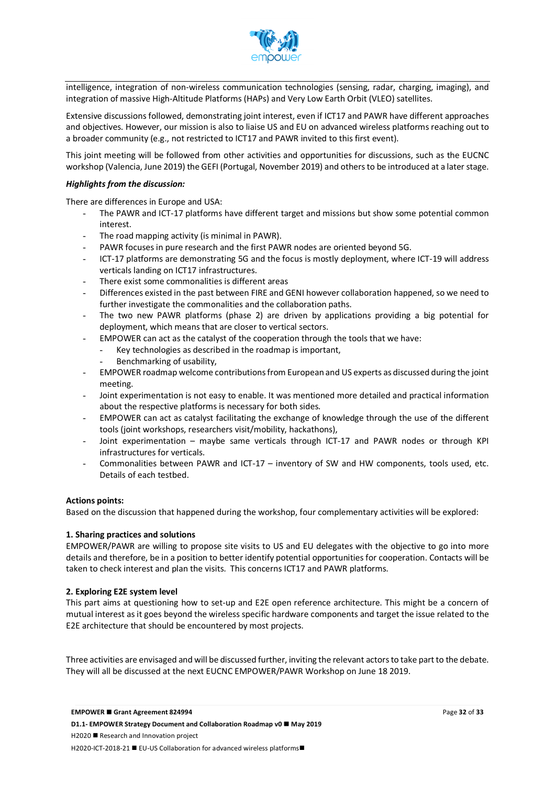

intelligence, integration of non-wireless communication technologies (sensing, radar, charging, imaging), and integration of massive High-Altitude Platforms (HAPs) and Very Low Earth Orbit (VLEO) satellites.

Extensive discussions followed, demonstrating joint interest, even if ICT17 and PAWR have different approaches and objectives. However, our mission is also to liaise US and EU on advanced wireless platforms reaching out to a broader community (e.g., not restricted to ICT17 and PAWR invited to this first event).

This joint meeting will be followed from other activities and opportunities for discussions, such as the EUCNC workshop (Valencia, June 2019) the GEFI (Portugal, November 2019) and others to be introduced at a later stage.

#### *Highlights from the discussion:*

There are differences in Europe and USA:

- The PAWR and ICT-17 platforms have different target and missions but show some potential common interest.
- The road mapping activity (is minimal in PAWR).
- PAWR focuses in pure research and the first PAWR nodes are oriented beyond 5G.
- ICT-17 platforms are demonstrating 5G and the focus is mostly deployment, where ICT-19 will address verticals landing on ICT17 infrastructures.
- There exist some commonalities is different areas
- Differences existed in the past between FIRE and GENI however collaboration happened, so we need to further investigate the commonalities and the collaboration paths.
- The two new PAWR platforms (phase 2) are driven by applications providing a big potential for deployment, which means that are closer to vertical sectors.
- EMPOWER can act as the catalyst of the cooperation through the tools that we have:
	- Key technologies as described in the roadmap is important,
	- Benchmarking of usability,
- EMPOWER roadmap welcome contributions from European and US experts as discussed during the joint meeting.
- Joint experimentation is not easy to enable. It was mentioned more detailed and practical information about the respective platforms is necessary for both sides.
- EMPOWER can act as catalyst facilitating the exchange of knowledge through the use of the different tools (joint workshops, researchers visit/mobility, hackathons),
- Joint experimentation maybe same verticals through ICT-17 and PAWR nodes or through KPI infrastructures for verticals.
- Commonalities between PAWR and ICT-17 inventory of SW and HW components, tools used, etc. Details of each testbed.

#### **Actions points:**

Based on the discussion that happened during the workshop, four complementary activities will be explored:

#### **1. Sharing practices and solutions**

EMPOWER/PAWR are willing to propose site visits to US and EU delegates with the objective to go into more details and therefore, be in a position to better identify potential opportunities for cooperation. Contacts will be taken to check interest and plan the visits. This concerns ICT17 and PAWR platforms.

#### **2. Exploring E2E system level**

This part aims at questioning how to set-up and E2E open reference architecture. This might be a concern of mutual interest as it goes beyond the wireless specific hardware components and target the issue related to the E2E architecture that should be encountered by most projects.

Three activities are envisaged and will be discussed further, inviting the relevant actors to take part to the debate. They will all be discussed at the next EUCNC EMPOWER/PAWR Workshop on June 18 2019.